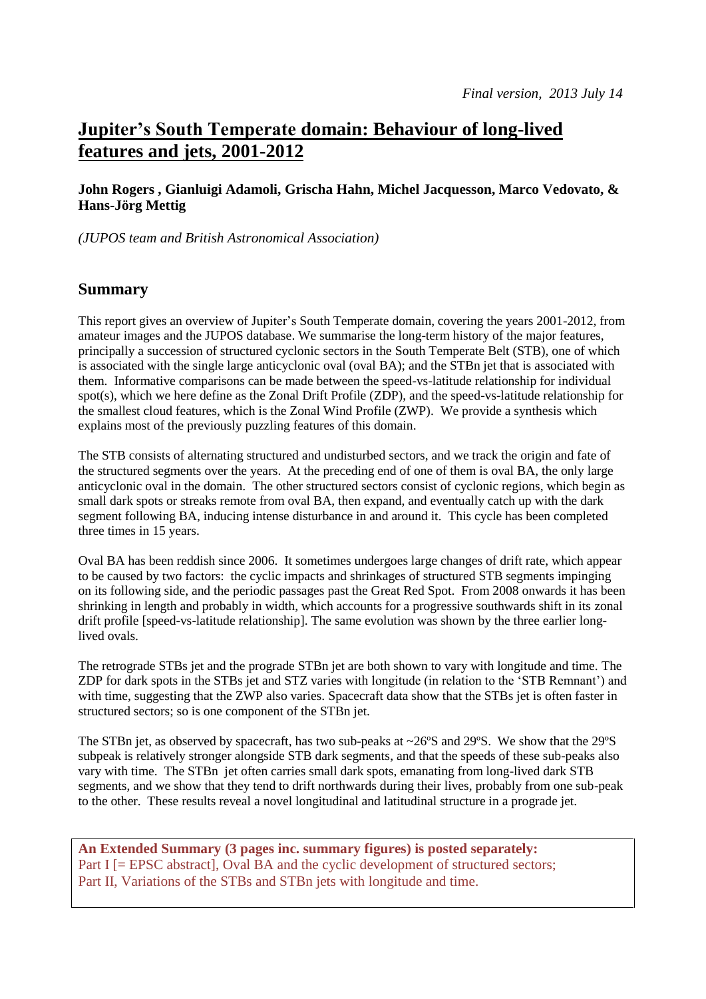# **Jupiter's South Temperate domain: Behaviour of long-lived features and jets, 2001-2012**

### **John Rogers , Gianluigi Adamoli, Grischa Hahn, Michel Jacquesson, Marco Vedovato, & Hans-Jörg Mettig**

*(JUPOS team and British Astronomical Association)*

## **Summary**

This report gives an overview of Jupiter's South Temperate domain, covering the years 2001-2012, from amateur images and the JUPOS database. We summarise the long-term history of the major features, principally a succession of structured cyclonic sectors in the South Temperate Belt (STB), one of which is associated with the single large anticyclonic oval (oval BA); and the STBn jet that is associated with them. Informative comparisons can be made between the speed-vs-latitude relationship for individual spot(s), which we here define as the Zonal Drift Profile (ZDP), and the speed-vs-latitude relationship for the smallest cloud features, which is the Zonal Wind Profile (ZWP). We provide a synthesis which explains most of the previously puzzling features of this domain.

The STB consists of alternating structured and undisturbed sectors, and we track the origin and fate of the structured segments over the years. At the preceding end of one of them is oval BA, the only large anticyclonic oval in the domain. The other structured sectors consist of cyclonic regions, which begin as small dark spots or streaks remote from oval BA, then expand, and eventually catch up with the dark segment following BA, inducing intense disturbance in and around it. This cycle has been completed three times in 15 years.

Oval BA has been reddish since 2006. It sometimes undergoes large changes of drift rate, which appear to be caused by two factors: the cyclic impacts and shrinkages of structured STB segments impinging on its following side, and the periodic passages past the Great Red Spot. From 2008 onwards it has been shrinking in length and probably in width, which accounts for a progressive southwards shift in its zonal drift profile [speed-vs-latitude relationship]. The same evolution was shown by the three earlier longlived ovals.

The retrograde STBs jet and the prograde STBn jet are both shown to vary with longitude and time. The ZDP for dark spots in the STBs jet and STZ varies with longitude (in relation to the 'STB Remnant') and with time, suggesting that the ZWP also varies. Spacecraft data show that the STBs jet is often faster in structured sectors; so is one component of the STBn jet.

The STBn jet, as observed by spacecraft, has two sub-peaks at ~26°S and 29°S. We show that the 29°S subpeak is relatively stronger alongside STB dark segments, and that the speeds of these sub-peaks also vary with time. The STBn jet often carries small dark spots, emanating from long-lived dark STB segments, and we show that they tend to drift northwards during their lives, probably from one sub-peak to the other. These results reveal a novel longitudinal and latitudinal structure in a prograde jet.

**An Extended Summary (3 pages inc. summary figures) is posted separately:** Part I [= EPSC abstract], Oval BA and the cyclic development of structured sectors; Part II, Variations of the STBs and STBn jets with longitude and time.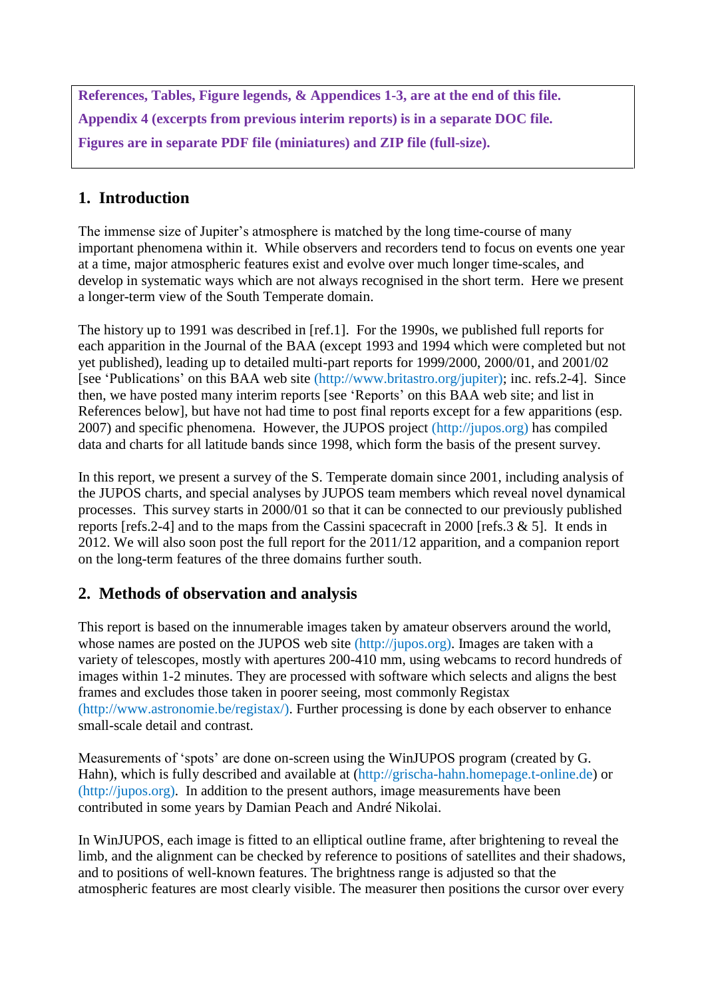**References, Tables, Figure legends, & Appendices 1-3, are at the end of this file. Appendix 4 (excerpts from previous interim reports) is in a separate DOC file. Figures are in separate PDF file (miniatures) and ZIP file (full-size).**

# **1. Introduction**

The immense size of Jupiter's atmosphere is matched by the long time-course of many important phenomena within it. While observers and recorders tend to focus on events one year at a time, major atmospheric features exist and evolve over much longer time-scales, and develop in systematic ways which are not always recognised in the short term. Here we present a longer-term view of the South Temperate domain.

The history up to 1991 was described in [ref.1]. For the 1990s, we published full reports for each apparition in the Journal of the BAA (except 1993 and 1994 which were completed but not yet published), leading up to detailed multi-part reports for 1999/2000, 2000/01, and 2001/02 [see 'Publications' on this BAA web site (http://www.britastro.org/jupiter); inc. refs.2-4]. Since then, we have posted many interim reports [see 'Reports' on this BAA web site; and list in References below], but have not had time to post final reports except for a few apparitions (esp. 2007) and specific phenomena. However, the JUPOS project (http://jupos.org) has compiled data and charts for all latitude bands since 1998, which form the basis of the present survey.

In this report, we present a survey of the S. Temperate domain since 2001, including analysis of the JUPOS charts, and special analyses by JUPOS team members which reveal novel dynamical processes. This survey starts in 2000/01 so that it can be connected to our previously published reports [refs.2-4] and to the maps from the Cassini spacecraft in 2000 [refs.3 & 5]. It ends in 2012. We will also soon post the full report for the 2011/12 apparition, and a companion report on the long-term features of the three domains further south.

# **2. Methods of observation and analysis**

This report is based on the innumerable images taken by amateur observers around the world, whose names are posted on the JUPOS web site (http://jupos.org). Images are taken with a variety of telescopes, mostly with apertures 200-410 mm, using webcams to record hundreds of images within 1-2 minutes. They are processed with software which selects and aligns the best frames and excludes those taken in poorer seeing, most commonly Registax (http://www.astronomie.be/registax/). Further processing is done by each observer to enhance small-scale detail and contrast.

Measurements of 'spots' are done on-screen using the WinJUPOS program (created by G. Hahn), which is fully described and available at (http://grischa-hahn.homepage.t-online.de) or (http://jupos.org). In addition to the present authors, image measurements have been contributed in some years by Damian Peach and André Nikolai.

In WinJUPOS, each image is fitted to an elliptical outline frame, after brightening to reveal the limb, and the alignment can be checked by reference to positions of satellites and their shadows, and to positions of well-known features. The brightness range is adjusted so that the atmospheric features are most clearly visible. The measurer then positions the cursor over every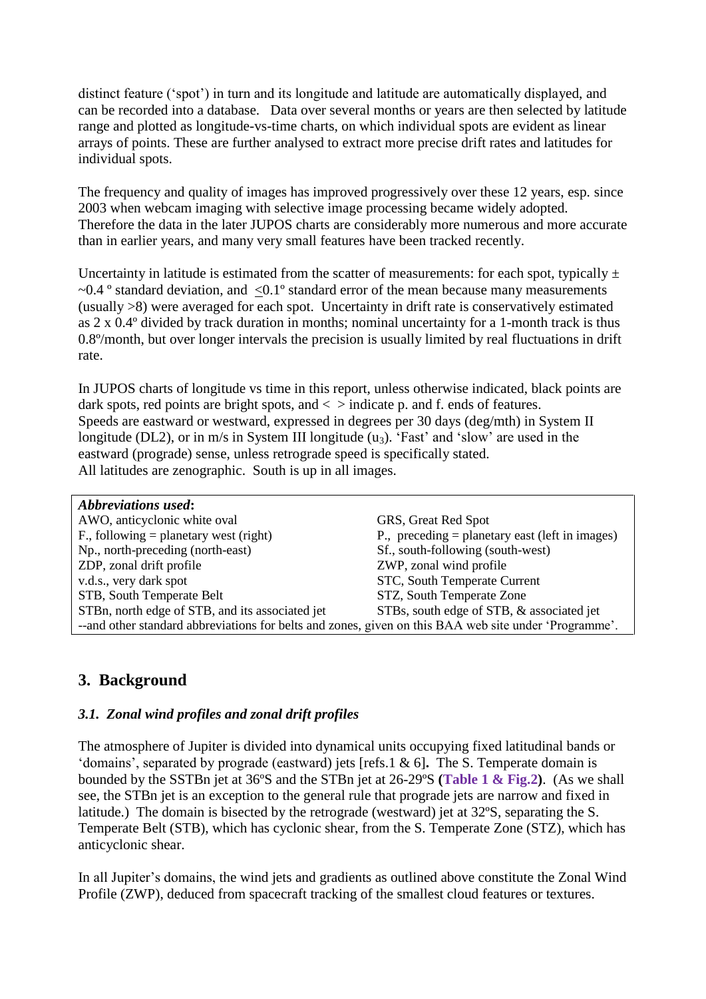distinct feature ('spot') in turn and its longitude and latitude are automatically displayed, and can be recorded into a database. Data over several months or years are then selected by latitude range and plotted as longitude-vs-time charts, on which individual spots are evident as linear arrays of points. These are further analysed to extract more precise drift rates and latitudes for individual spots.

The frequency and quality of images has improved progressively over these 12 years, esp. since 2003 when webcam imaging with selective image processing became widely adopted. Therefore the data in the later JUPOS charts are considerably more numerous and more accurate than in earlier years, and many very small features have been tracked recently.

Uncertainty in latitude is estimated from the scatter of measurements: for each spot, typically  $\pm$  $\sim$ 0.4 ° standard deviation, and  $\leq$ 0.1° standard error of the mean because many measurements (usually >8) were averaged for each spot. Uncertainty in drift rate is conservatively estimated as 2 x 0.4º divided by track duration in months; nominal uncertainty for a 1-month track is thus 0.8º/month, but over longer intervals the precision is usually limited by real fluctuations in drift rate.

In JUPOS charts of longitude vs time in this report, unless otherwise indicated, black points are dark spots, red points are bright spots, and  $\langle$  > indicate p. and f. ends of features. Speeds are eastward or westward, expressed in degrees per 30 days (deg/mth) in System II longitude (DL2), or in m/s in System III longitude  $(u_3)$ . 'Fast' and 'slow' are used in the eastward (prograde) sense, unless retrograde speed is specifically stated. All latitudes are zenographic. South is up in all images.

| <b>Abbreviations used:</b>                                                                            |                                                   |
|-------------------------------------------------------------------------------------------------------|---------------------------------------------------|
| AWO, anticyclonic white oval                                                                          | GRS, Great Red Spot                               |
| F., following = planetary west (right)                                                                | P., preceding $=$ planetary east (left in images) |
| Np., north-preceding (north-east)                                                                     | Sf., south-following (south-west)                 |
| ZDP, zonal drift profile                                                                              | ZWP, zonal wind profile                           |
| v.d.s., very dark spot                                                                                | STC, South Temperate Current                      |
| STB, South Temperate Belt                                                                             | STZ, South Temperate Zone                         |
| STBn, north edge of STB, and its associated jet                                                       | STBs, south edge of STB, & associated jet         |
| --and other standard abbreviations for belts and zones, given on this BAA web site under 'Programme'. |                                                   |

# **3. Background**

# *3.1. Zonal wind profiles and zonal drift profiles*

The atmosphere of Jupiter is divided into dynamical units occupying fixed latitudinal bands or 'domains', separated by prograde (eastward) jets [refs.1 & 6]**.** The S. Temperate domain is bounded by the SSTBn jet at 36ºS and the STBn jet at 26-29ºS **(Table 1 & Fig.2)**. (As we shall see, the STBn jet is an exception to the general rule that prograde jets are narrow and fixed in latitude.) The domain is bisected by the retrograde (westward) jet at 32ºS, separating the S. Temperate Belt (STB), which has cyclonic shear, from the S. Temperate Zone (STZ), which has anticyclonic shear.

In all Jupiter's domains, the wind jets and gradients as outlined above constitute the Zonal Wind Profile (ZWP), deduced from spacecraft tracking of the smallest cloud features or textures.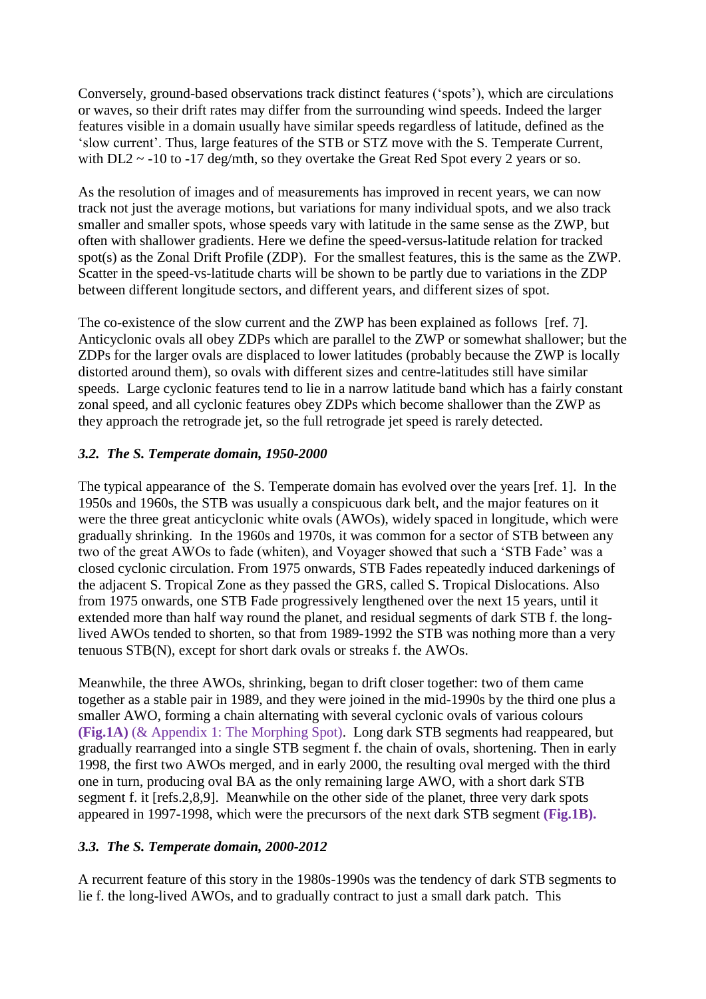Conversely, ground-based observations track distinct features ('spots'), which are circulations or waves, so their drift rates may differ from the surrounding wind speeds. Indeed the larger features visible in a domain usually have similar speeds regardless of latitude, defined as the 'slow current'. Thus, large features of the STB or STZ move with the S. Temperate Current, with DL2  $\sim$  -10 to -17 deg/mth, so they overtake the Great Red Spot every 2 years or so.

As the resolution of images and of measurements has improved in recent years, we can now track not just the average motions, but variations for many individual spots, and we also track smaller and smaller spots, whose speeds vary with latitude in the same sense as the ZWP, but often with shallower gradients. Here we define the speed-versus-latitude relation for tracked spot(s) as the Zonal Drift Profile (ZDP). For the smallest features, this is the same as the ZWP. Scatter in the speed-vs-latitude charts will be shown to be partly due to variations in the ZDP between different longitude sectors, and different years, and different sizes of spot.

The co-existence of the slow current and the ZWP has been explained as follows [ref. 7]. Anticyclonic ovals all obey ZDPs which are parallel to the ZWP or somewhat shallower; but the ZDPs for the larger ovals are displaced to lower latitudes (probably because the ZWP is locally distorted around them), so ovals with different sizes and centre-latitudes still have similar speeds. Large cyclonic features tend to lie in a narrow latitude band which has a fairly constant zonal speed, and all cyclonic features obey ZDPs which become shallower than the ZWP as they approach the retrograde jet, so the full retrograde jet speed is rarely detected.

# *3.2. The S. Temperate domain, 1950-2000*

The typical appearance of the S. Temperate domain has evolved over the years [ref. 1]. In the 1950s and 1960s, the STB was usually a conspicuous dark belt, and the major features on it were the three great anticyclonic white ovals (AWOs), widely spaced in longitude, which were gradually shrinking. In the 1960s and 1970s, it was common for a sector of STB between any two of the great AWOs to fade (whiten), and Voyager showed that such a 'STB Fade' was a closed cyclonic circulation. From 1975 onwards, STB Fades repeatedly induced darkenings of the adjacent S. Tropical Zone as they passed the GRS, called S. Tropical Dislocations. Also from 1975 onwards, one STB Fade progressively lengthened over the next 15 years, until it extended more than half way round the planet, and residual segments of dark STB f. the longlived AWOs tended to shorten, so that from 1989-1992 the STB was nothing more than a very tenuous STB(N), except for short dark ovals or streaks f. the AWOs.

Meanwhile, the three AWOs, shrinking, began to drift closer together: two of them came together as a stable pair in 1989, and they were joined in the mid-1990s by the third one plus a smaller AWO, forming a chain alternating with several cyclonic ovals of various colours **(Fig.1A)** (& Appendix 1: The Morphing Spot). Long dark STB segments had reappeared, but gradually rearranged into a single STB segment f. the chain of ovals, shortening. Then in early 1998, the first two AWOs merged, and in early 2000, the resulting oval merged with the third one in turn, producing oval BA as the only remaining large AWO, with a short dark STB segment f. it [refs.2,8,9]. Meanwhile on the other side of the planet, three very dark spots appeared in 1997-1998, which were the precursors of the next dark STB segment **(Fig.1B).**

## *3.3. The S. Temperate domain, 2000-2012*

A recurrent feature of this story in the 1980s-1990s was the tendency of dark STB segments to lie f. the long-lived AWOs, and to gradually contract to just a small dark patch. This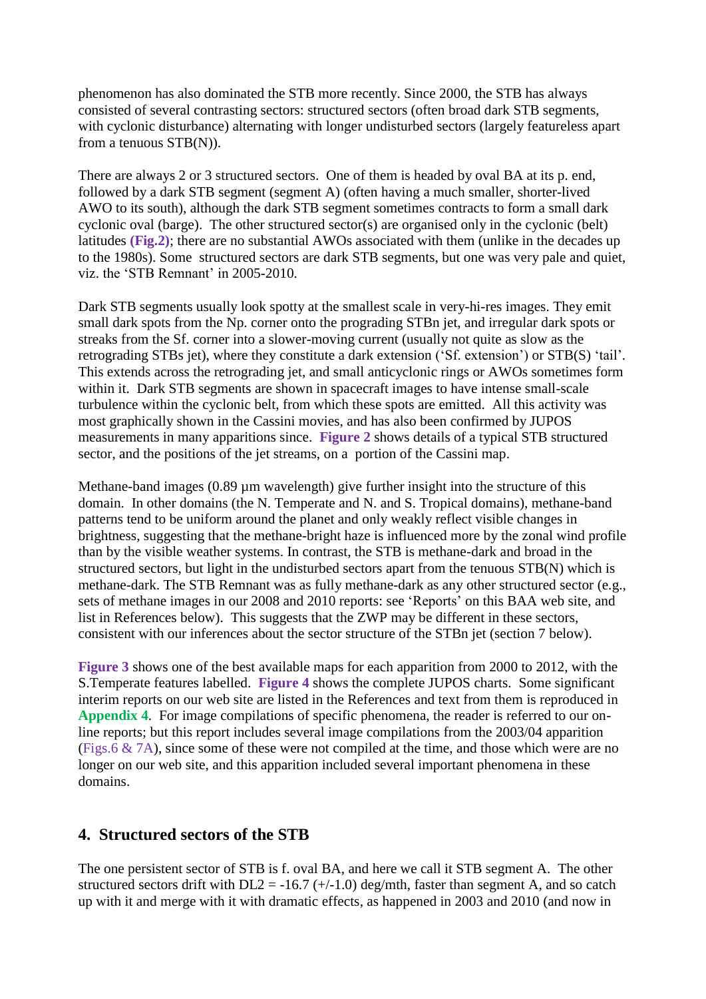phenomenon has also dominated the STB more recently. Since 2000, the STB has always consisted of several contrasting sectors: structured sectors (often broad dark STB segments, with cyclonic disturbance) alternating with longer undisturbed sectors (largely featureless apart from a tenuous STB(N)).

There are always 2 or 3 structured sectors. One of them is headed by oval BA at its p. end, followed by a dark STB segment (segment A) (often having a much smaller, shorter-lived AWO to its south), although the dark STB segment sometimes contracts to form a small dark cyclonic oval (barge). The other structured sector(s) are organised only in the cyclonic (belt) latitudes **(Fig.2)**; there are no substantial AWOs associated with them (unlike in the decades up to the 1980s). Some structured sectors are dark STB segments, but one was very pale and quiet, viz. the 'STB Remnant' in 2005-2010.

Dark STB segments usually look spotty at the smallest scale in very-hi-res images. They emit small dark spots from the Np. corner onto the prograding STBn jet, and irregular dark spots or streaks from the Sf. corner into a slower-moving current (usually not quite as slow as the retrograding STBs jet), where they constitute a dark extension ('Sf. extension') or STB(S) 'tail'. This extends across the retrograding jet, and small anticyclonic rings or AWOs sometimes form within it. Dark STB segments are shown in spacecraft images to have intense small-scale turbulence within the cyclonic belt, from which these spots are emitted. All this activity was most graphically shown in the Cassini movies, and has also been confirmed by JUPOS measurements in many apparitions since. **Figure 2** shows details of a typical STB structured sector, and the positions of the jet streams, on a portion of the Cassini map.

Methane-band images (0.89  $\mu$ m wavelength) give further insight into the structure of this domain. In other domains (the N. Temperate and N. and S. Tropical domains), methane-band patterns tend to be uniform around the planet and only weakly reflect visible changes in brightness, suggesting that the methane-bright haze is influenced more by the zonal wind profile than by the visible weather systems. In contrast, the STB is methane-dark and broad in the structured sectors, but light in the undisturbed sectors apart from the tenuous STB(N) which is methane-dark. The STB Remnant was as fully methane-dark as any other structured sector (e.g., sets of methane images in our 2008 and 2010 reports: see 'Reports' on this BAA web site, and list in References below). This suggests that the ZWP may be different in these sectors, consistent with our inferences about the sector structure of the STBn jet (section 7 below).

**Figure 3** shows one of the best available maps for each apparition from 2000 to 2012, with the S.Temperate features labelled. **Figure 4** shows the complete JUPOS charts. Some significant interim reports on our web site are listed in the References and text from them is reproduced in **Appendix 4**.For image compilations of specific phenomena, the reader is referred to our online reports; but this report includes several image compilations from the 2003/04 apparition (Figs.6 & 7A), since some of these were not compiled at the time, and those which were are no longer on our web site, and this apparition included several important phenomena in these domains.

# **4. Structured sectors of the STB**

The one persistent sector of STB is f. oval BA, and here we call it STB segment A. The other structured sectors drift with  $DL2 = -16.7$  (+/-1.0) deg/mth, faster than segment A, and so catch up with it and merge with it with dramatic effects, as happened in 2003 and 2010 (and now in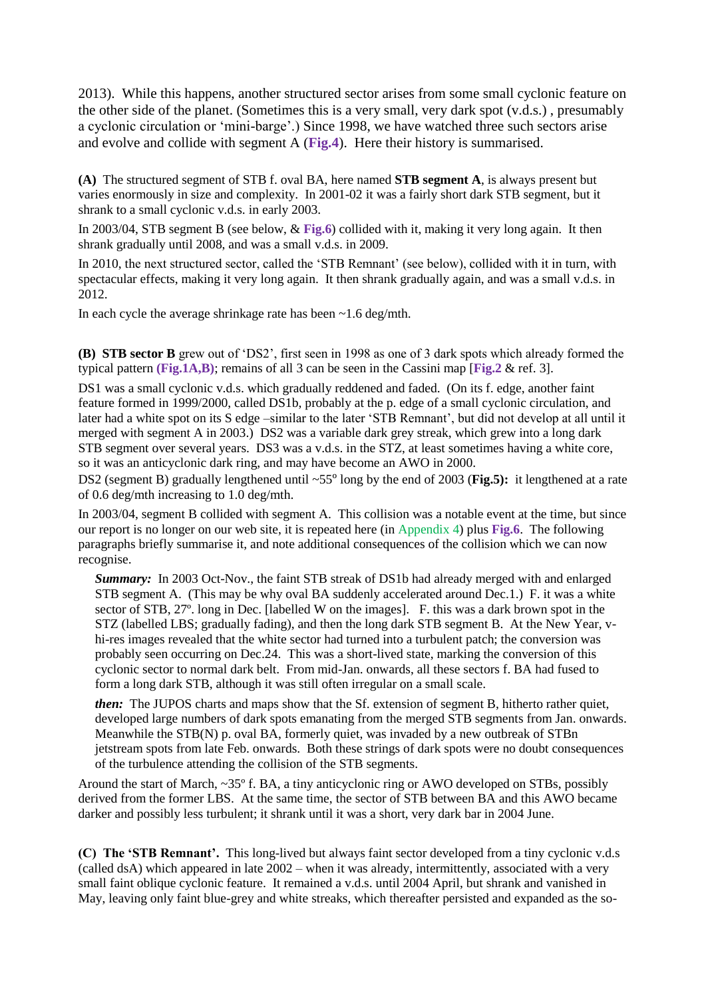2013). While this happens, another structured sector arises from some small cyclonic feature on the other side of the planet. (Sometimes this is a very small, very dark spot (v.d.s.) , presumably a cyclonic circulation or 'mini-barge'.) Since 1998, we have watched three such sectors arise and evolve and collide with segment A (**Fig.4**). Here their history is summarised.

**(A)** The structured segment of STB f. oval BA, here named **STB segment A**, is always present but varies enormously in size and complexity. In 2001-02 it was a fairly short dark STB segment, but it shrank to a small cyclonic v.d.s. in early 2003.

In 2003/04, STB segment B (see below, & **Fig.6**) collided with it, making it very long again. It then shrank gradually until 2008, and was a small v.d.s. in 2009.

In 2010, the next structured sector, called the 'STB Remnant' (see below), collided with it in turn, with spectacular effects, making it very long again. It then shrank gradually again, and was a small v.d.s. in 2012.

In each cycle the average shrinkage rate has been ~1.6 deg/mth.

**(B) STB sector B** grew out of 'DS2', first seen in 1998 as one of 3 dark spots which already formed the typical pattern **(Fig.1A,B)**; remains of all 3 can be seen in the Cassini map [**Fig.2** & ref. 3].

DS1 was a small cyclonic v.d.s. which gradually reddened and faded. (On its f. edge, another faint feature formed in 1999/2000, called DS1b, probably at the p. edge of a small cyclonic circulation, and later had a white spot on its S edge –similar to the later 'STB Remnant', but did not develop at all until it merged with segment A in 2003.) DS2 was a variable dark grey streak, which grew into a long dark STB segment over several years. DS3 was a v.d.s. in the STZ, at least sometimes having a white core, so it was an anticyclonic dark ring, and may have become an AWO in 2000.

DS2 (segment B) gradually lengthened until ~55º long by the end of 2003 (**Fig.5):** it lengthened at a rate of 0.6 deg/mth increasing to 1.0 deg/mth.

In 2003/04, segment B collided with segment A. This collision was a notable event at the time, but since our report is no longer on our web site, it is repeated here (in Appendix 4) plus **Fig.6**. The following paragraphs briefly summarise it, and note additional consequences of the collision which we can now recognise.

*Summary:* In 2003 Oct-Nov., the faint STB streak of DS1b had already merged with and enlarged STB segment A. (This may be why oval BA suddenly accelerated around Dec.1.) F. it was a white sector of STB, 27º. long in Dec. [labelled W on the images]. F. this was a dark brown spot in the STZ (labelled LBS; gradually fading), and then the long dark STB segment B. At the New Year, vhi-res images revealed that the white sector had turned into a turbulent patch; the conversion was probably seen occurring on Dec.24. This was a short-lived state, marking the conversion of this cyclonic sector to normal dark belt. From mid-Jan. onwards, all these sectors f. BA had fused to form a long dark STB, although it was still often irregular on a small scale.

*then:* The JUPOS charts and maps show that the Sf. extension of segment B, hitherto rather quiet, developed large numbers of dark spots emanating from the merged STB segments from Jan. onwards. Meanwhile the STB(N) p. oval BA, formerly quiet, was invaded by a new outbreak of STBn jetstream spots from late Feb. onwards. Both these strings of dark spots were no doubt consequences of the turbulence attending the collision of the STB segments.

Around the start of March, ~35º f. BA, a tiny anticyclonic ring or AWO developed on STBs, possibly derived from the former LBS. At the same time, the sector of STB between BA and this AWO became darker and possibly less turbulent; it shrank until it was a short, very dark bar in 2004 June.

**(C) The 'STB Remnant'.** This long-lived but always faint sector developed from a tiny cyclonic v.d.s (called dsA) which appeared in late 2002 – when it was already, intermittently, associated with a very small faint oblique cyclonic feature. It remained a v.d.s. until 2004 April, but shrank and vanished in May, leaving only faint blue-grey and white streaks, which thereafter persisted and expanded as the so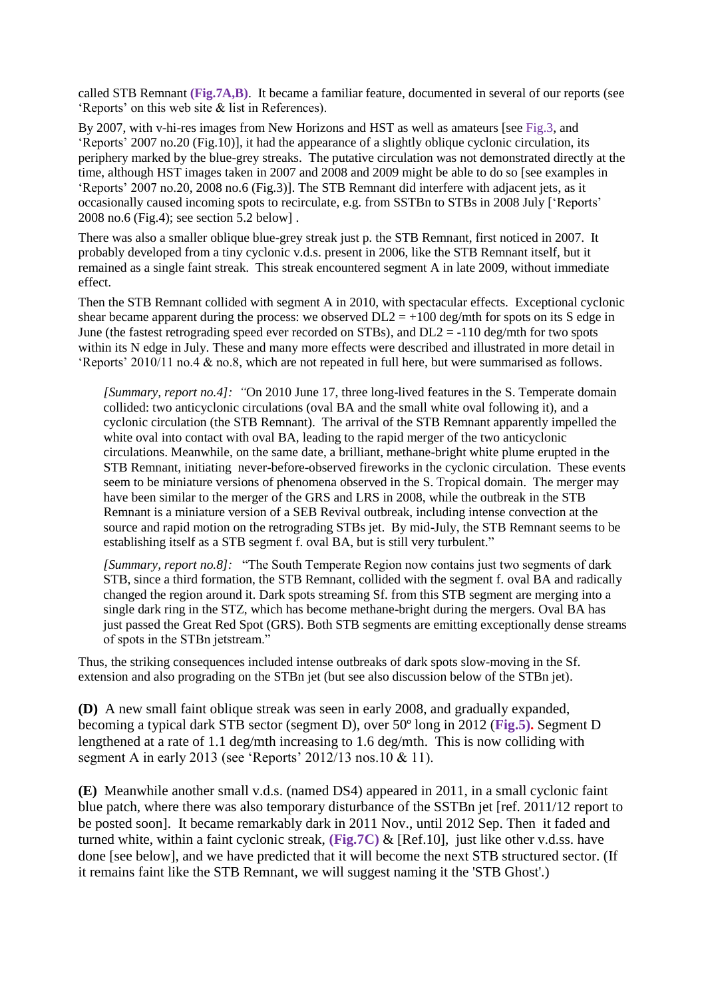called STB Remnant **(Fig.7A,B)**. It became a familiar feature, documented in several of our reports (see 'Reports' on this web site & list in References).

By 2007, with v-hi-res images from New Horizons and HST as well as amateurs [see Fig.3, and 'Reports' 2007 no.20 (Fig.10)], it had the appearance of a slightly oblique cyclonic circulation, its periphery marked by the blue-grey streaks. The putative circulation was not demonstrated directly at the time, although HST images taken in 2007 and 2008 and 2009 might be able to do so [see examples in 'Reports' 2007 no.20, 2008 no.6 (Fig.3)]. The STB Remnant did interfere with adjacent jets, as it occasionally caused incoming spots to recirculate, e.g. from SSTBn to STBs in 2008 July ['Reports' 2008 no.6 (Fig.4); see section 5.2 below] .

There was also a smaller oblique blue-grey streak just p. the STB Remnant, first noticed in 2007. It probably developed from a tiny cyclonic v.d.s. present in 2006, like the STB Remnant itself, but it remained as a single faint streak. This streak encountered segment A in late 2009, without immediate effect.

Then the STB Remnant collided with segment A in 2010, with spectacular effects. Exceptional cyclonic shear became apparent during the process: we observed  $DL2 = +100 \text{ deg/mL}$  for spots on its S edge in June (the fastest retrograding speed ever recorded on STBs), and  $DL2 = -110$  deg/mth for two spots within its N edge in July. These and many more effects were described and illustrated in more detail in 'Reports' 2010/11 no.4 & no.8, which are not repeated in full here, but were summarised as follows.

*[Summary, report no.4]: "*On 2010 June 17, three long-lived features in the S. Temperate domain collided: two anticyclonic circulations (oval BA and the small white oval following it), and a cyclonic circulation (the STB Remnant). The arrival of the STB Remnant apparently impelled the white oval into contact with oval BA, leading to the rapid merger of the two anticyclonic circulations. Meanwhile, on the same date, a brilliant, methane-bright white plume erupted in the STB Remnant, initiating never-before-observed fireworks in the cyclonic circulation. These events seem to be miniature versions of phenomena observed in the S. Tropical domain. The merger may have been similar to the merger of the GRS and LRS in 2008, while the outbreak in the STB Remnant is a miniature version of a SEB Revival outbreak, including intense convection at the source and rapid motion on the retrograding STBs jet. By mid-July, the STB Remnant seems to be establishing itself as a STB segment f. oval BA, but is still very turbulent."

*[Summary, report no.8]:* "The South Temperate Region now contains just two segments of dark STB, since a third formation, the STB Remnant, collided with the segment f. oval BA and radically changed the region around it. Dark spots streaming Sf. from this STB segment are merging into a single dark ring in the STZ, which has become methane-bright during the mergers. Oval BA has just passed the Great Red Spot (GRS). Both STB segments are emitting exceptionally dense streams of spots in the STBn jetstream."

Thus, the striking consequences included intense outbreaks of dark spots slow-moving in the Sf. extension and also prograding on the STBn jet (but see also discussion below of the STBn jet).

**(D)** A new small faint oblique streak was seen in early 2008, and gradually expanded, becoming a typical dark STB sector (segment D), over 50º long in 2012 (**Fig.5).** Segment D lengthened at a rate of 1.1 deg/mth increasing to 1.6 deg/mth. This is now colliding with segment A in early 2013 (see 'Reports' 2012/13 nos.10 & 11).

**(E)** Meanwhile another small v.d.s. (named DS4) appeared in 2011, in a small cyclonic faint blue patch, where there was also temporary disturbance of the SSTBn jet [ref. 2011/12 report to be posted soon]. It became remarkably dark in 2011 Nov., until 2012 Sep. Then it faded and turned white, within a faint cyclonic streak, **(Fig.7C)** & [Ref.10], just like other v.d.ss. have done [see below], and we have predicted that it will become the next STB structured sector. (If it remains faint like the STB Remnant, we will suggest naming it the 'STB Ghost'.)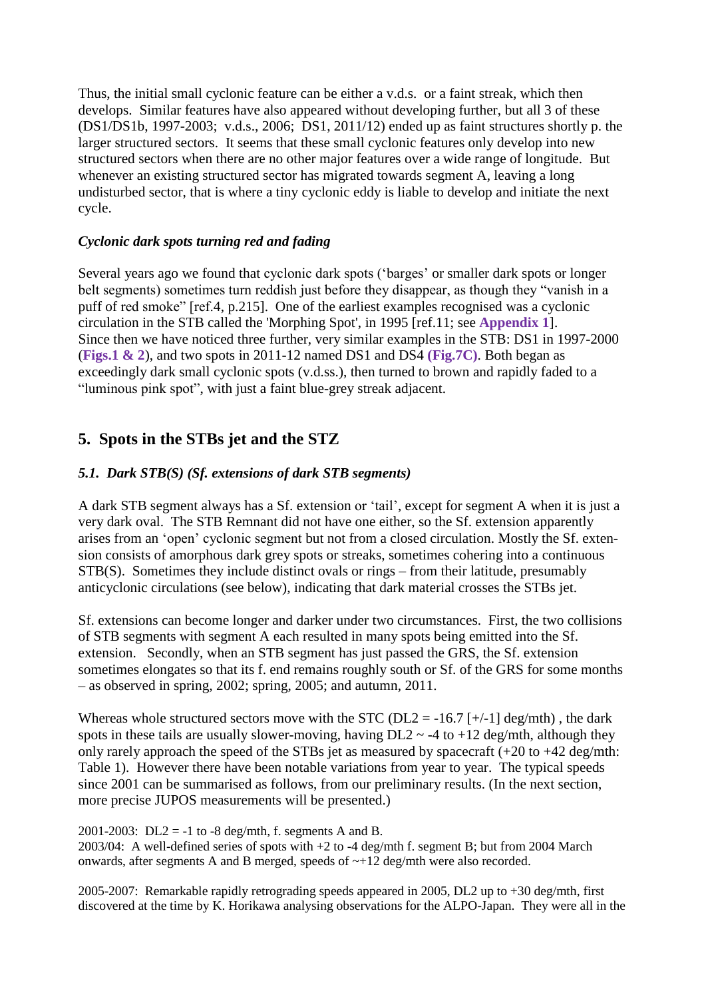Thus, the initial small cyclonic feature can be either a v.d.s. or a faint streak, which then develops. Similar features have also appeared without developing further, but all 3 of these (DS1/DS1b, 1997-2003; v.d.s., 2006; DS1, 2011/12) ended up as faint structures shortly p. the larger structured sectors. It seems that these small cyclonic features only develop into new structured sectors when there are no other major features over a wide range of longitude. But whenever an existing structured sector has migrated towards segment A, leaving a long undisturbed sector, that is where a tiny cyclonic eddy is liable to develop and initiate the next cycle.

# *Cyclonic dark spots turning red and fading*

Several years ago we found that cyclonic dark spots ('barges' or smaller dark spots or longer belt segments) sometimes turn reddish just before they disappear, as though they "vanish in a puff of red smoke" [ref.4, p.215]. One of the earliest examples recognised was a cyclonic circulation in the STB called the 'Morphing Spot', in 1995 [ref.11; see **Appendix 1**]. Since then we have noticed three further, very similar examples in the STB: DS1 in 1997-2000 (**Figs.1 & 2**), and two spots in 2011-12 named DS1 and DS4 **(Fig.7C)**. Both began as exceedingly dark small cyclonic spots (v.d.ss.), then turned to brown and rapidly faded to a "luminous pink spot", with just a faint blue-grey streak adjacent.

# **5. Spots in the STBs jet and the STZ**

# *5.1. Dark STB(S) (Sf. extensions of dark STB segments)*

A dark STB segment always has a Sf. extension or 'tail', except for segment A when it is just a very dark oval. The STB Remnant did not have one either, so the Sf. extension apparently arises from an 'open' cyclonic segment but not from a closed circulation. Mostly the Sf. extension consists of amorphous dark grey spots or streaks, sometimes cohering into a continuous STB(S). Sometimes they include distinct ovals or rings – from their latitude, presumably anticyclonic circulations (see below), indicating that dark material crosses the STBs jet.

Sf. extensions can become longer and darker under two circumstances. First, the two collisions of STB segments with segment A each resulted in many spots being emitted into the Sf. extension. Secondly, when an STB segment has just passed the GRS, the Sf. extension sometimes elongates so that its f. end remains roughly south or Sf. of the GRS for some months – as observed in spring, 2002; spring, 2005; and autumn, 2011.

Whereas whole structured sectors move with the STC ( $DL2 = -16.7$  [+/-1] deg/mth), the dark spots in these tails are usually slower-moving, having  $DL2 \sim -4$  to  $+12$  deg/mth, although they only rarely approach the speed of the STBs jet as measured by spacecraft  $(+20 \text{ to } +42 \text{ deg/mL})$ Table 1). However there have been notable variations from year to year. The typical speeds since 2001 can be summarised as follows, from our preliminary results. (In the next section, more precise JUPOS measurements will be presented.)

2001-2003: DL2 = -1 to -8 deg/mth, f. segments A and B. 2003/04: A well-defined series of spots with +2 to -4 deg/mth f. segment B; but from 2004 March onwards, after segments A and B merged, speeds of ~+12 deg/mth were also recorded.

2005-2007: Remarkable rapidly retrograding speeds appeared in 2005, DL2 up to +30 deg/mth, first discovered at the time by K. Horikawa analysing observations for the ALPO-Japan. They were all in the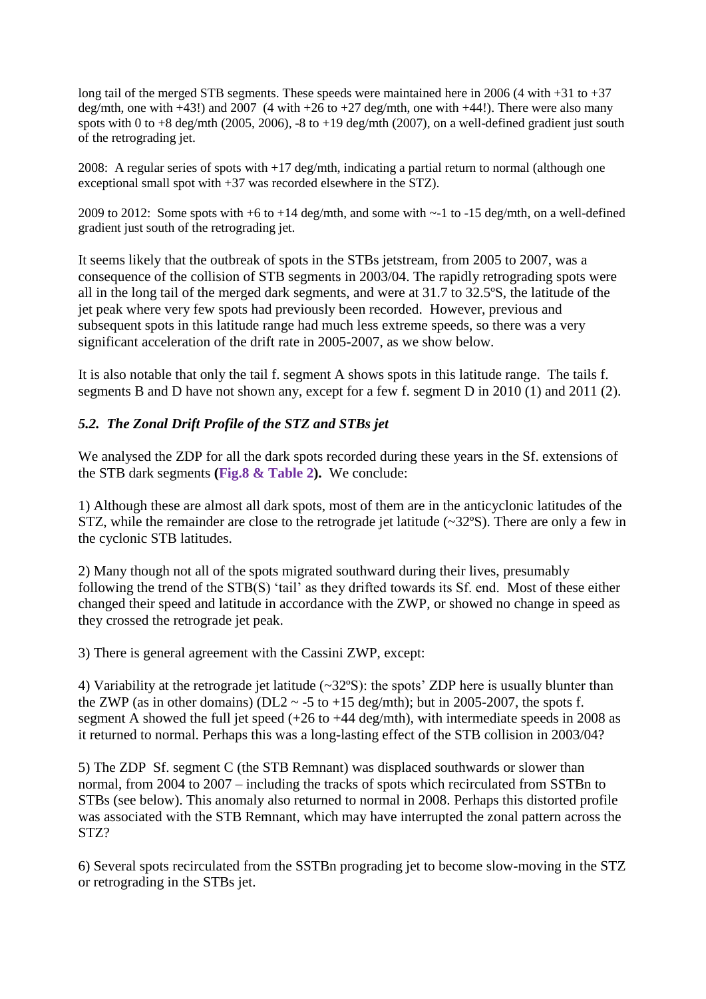long tail of the merged STB segments. These speeds were maintained here in 2006 (4 with  $+31$  to  $+37$ ) deg/mth, one with  $+43!$ ) and 2007 (4 with  $+26$  to  $+27$  deg/mth, one with  $+44!$ ). There were also many spots with 0 to  $+8$  deg/mth (2005, 2006),  $-8$  to  $+19$  deg/mth (2007), on a well-defined gradient just south of the retrograding jet.

2008: A regular series of spots with +17 deg/mth, indicating a partial return to normal (although one exceptional small spot with +37 was recorded elsewhere in the STZ).

2009 to 2012: Some spots with +6 to +14 deg/mth, and some with ~-1 to -15 deg/mth, on a well-defined gradient just south of the retrograding jet.

It seems likely that the outbreak of spots in the STBs jetstream, from 2005 to 2007, was a consequence of the collision of STB segments in 2003/04. The rapidly retrograding spots were all in the long tail of the merged dark segments, and were at 31.7 to 32.5ºS, the latitude of the jet peak where very few spots had previously been recorded. However, previous and subsequent spots in this latitude range had much less extreme speeds, so there was a very significant acceleration of the drift rate in 2005-2007, as we show below.

It is also notable that only the tail f. segment A shows spots in this latitude range. The tails f. segments B and D have not shown any, except for a few f. segment D in 2010 (1) and 2011 (2).

# *5.2. The Zonal Drift Profile of the STZ and STBs jet*

We analysed the ZDP for all the dark spots recorded during these years in the Sf. extensions of the STB dark segments **(Fig.8 & Table 2).** We conclude:

1) Although these are almost all dark spots, most of them are in the anticyclonic latitudes of the STZ, while the remainder are close to the retrograde jet latitude (~32ºS). There are only a few in the cyclonic STB latitudes.

2) Many though not all of the spots migrated southward during their lives, presumably following the trend of the STB(S) 'tail' as they drifted towards its Sf. end. Most of these either changed their speed and latitude in accordance with the ZWP, or showed no change in speed as they crossed the retrograde jet peak.

3) There is general agreement with the Cassini ZWP, except:

4) Variability at the retrograde jet latitude (~32ºS): the spots' ZDP here is usually blunter than the ZWP (as in other domains) (DL2  $\sim$  -5 to +15 deg/mth); but in 2005-2007, the spots f. segment A showed the full jet speed (+26 to +44 deg/mth), with intermediate speeds in 2008 as it returned to normal. Perhaps this was a long-lasting effect of the STB collision in 2003/04?

5) The ZDP Sf. segment C (the STB Remnant) was displaced southwards or slower than normal, from 2004 to 2007 – including the tracks of spots which recirculated from SSTBn to STBs (see below). This anomaly also returned to normal in 2008. Perhaps this distorted profile was associated with the STB Remnant, which may have interrupted the zonal pattern across the STZ?

6) Several spots recirculated from the SSTBn prograding jet to become slow-moving in the STZ or retrograding in the STBs jet.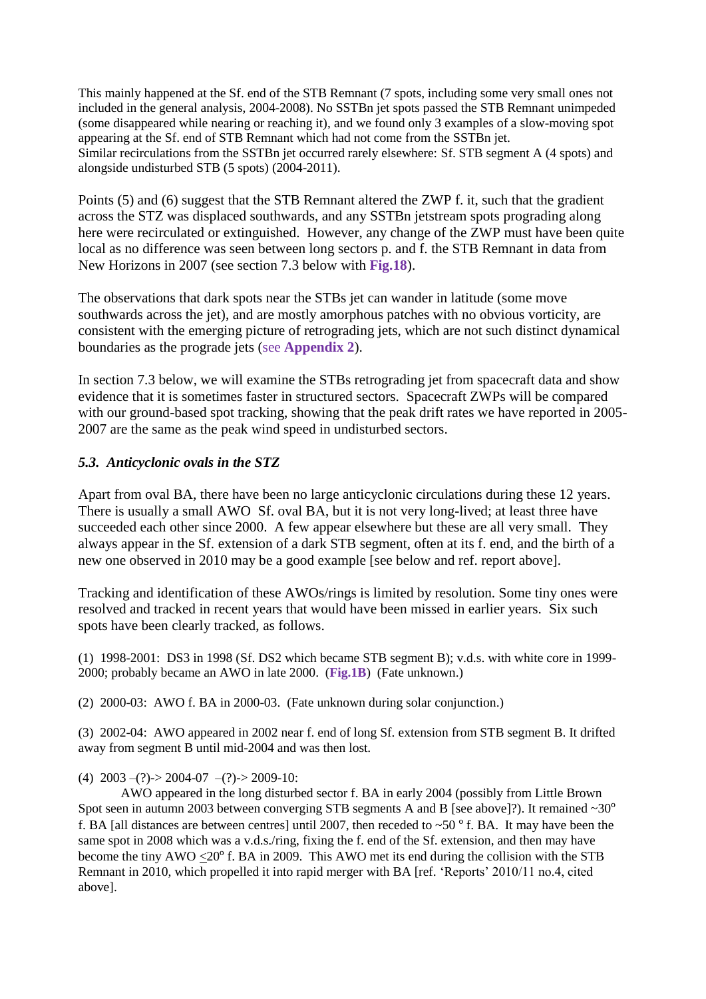This mainly happened at the Sf. end of the STB Remnant (7 spots, including some very small ones not included in the general analysis, 2004-2008). No SSTBn jet spots passed the STB Remnant unimpeded (some disappeared while nearing or reaching it), and we found only 3 examples of a slow-moving spot appearing at the Sf. end of STB Remnant which had not come from the SSTBn jet. Similar recirculations from the SSTBn jet occurred rarely elsewhere: Sf. STB segment A (4 spots) and alongside undisturbed STB (5 spots) (2004-2011).

Points (5) and (6) suggest that the STB Remnant altered the ZWP f. it, such that the gradient across the STZ was displaced southwards, and any SSTBn jetstream spots prograding along here were recirculated or extinguished. However, any change of the ZWP must have been quite local as no difference was seen between long sectors p. and f. the STB Remnant in data from New Horizons in 2007 (see section 7.3 below with **Fig.18**).

The observations that dark spots near the STBs jet can wander in latitude (some move southwards across the jet), and are mostly amorphous patches with no obvious vorticity, are consistent with the emerging picture of retrograding jets, which are not such distinct dynamical boundaries as the prograde jets (see **Appendix 2**).

In section 7.3 below, we will examine the STBs retrograding jet from spacecraft data and show evidence that it is sometimes faster in structured sectors. Spacecraft ZWPs will be compared with our ground-based spot tracking, showing that the peak drift rates we have reported in 2005-2007 are the same as the peak wind speed in undisturbed sectors.

# *5.3. Anticyclonic ovals in the STZ*

Apart from oval BA, there have been no large anticyclonic circulations during these 12 years. There is usually a small AWO Sf. oval BA, but it is not very long-lived; at least three have succeeded each other since 2000. A few appear elsewhere but these are all very small. They always appear in the Sf. extension of a dark STB segment, often at its f. end, and the birth of a new one observed in 2010 may be a good example [see below and ref. report above].

Tracking and identification of these AWOs/rings is limited by resolution. Some tiny ones were resolved and tracked in recent years that would have been missed in earlier years. Six such spots have been clearly tracked, as follows.

(1) 1998-2001: DS3 in 1998 (Sf. DS2 which became STB segment B); v.d.s. with white core in 1999- 2000; probably became an AWO in late 2000. (**Fig.1B**) (Fate unknown.)

(2) 2000-03: AWO f. BA in 2000-03. (Fate unknown during solar conjunction.)

(3) 2002-04: AWO appeared in 2002 near f. end of long Sf. extension from STB segment B. It drifted away from segment B until mid-2004 and was then lost.

(4)  $2003 - (?) - 2004 - 07 - (?) - 2009 - 10$ :

AWO appeared in the long disturbed sector f. BA in early 2004 (possibly from Little Brown Spot seen in autumn 2003 between converging STB segments A and B [see above]?). It remained ~30° f. BA [all distances are between centres] until 2007, then receded to  $\sim$  50  $^{\circ}$  f. BA. It may have been the same spot in 2008 which was a v.d.s./ring, fixing the f. end of the Sf. extension, and then may have become the tiny AWO  $\leq$ 20<sup>o</sup> f. BA in 2009. This AWO met its end during the collision with the STB Remnant in 2010, which propelled it into rapid merger with BA [ref. 'Reports' 2010/11 no.4, cited above].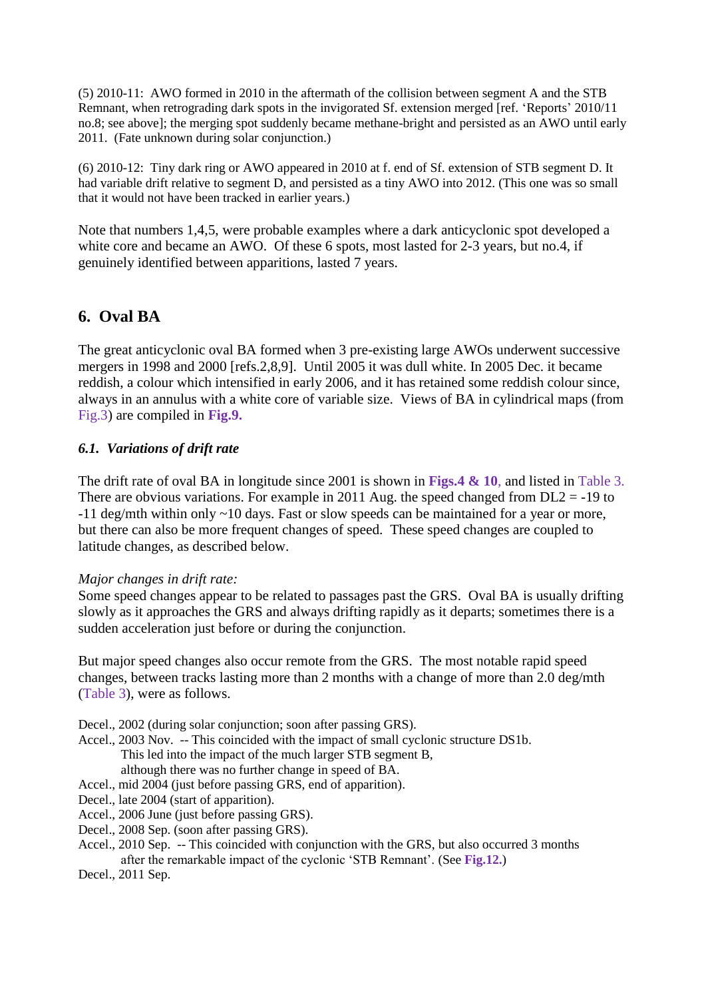(5) 2010-11: AWO formed in 2010 in the aftermath of the collision between segment A and the STB Remnant, when retrograding dark spots in the invigorated Sf. extension merged [ref. 'Reports' 2010/11 no.8; see above]; the merging spot suddenly became methane-bright and persisted as an AWO until early 2011. (Fate unknown during solar conjunction.)

(6) 2010-12: Tiny dark ring or AWO appeared in 2010 at f. end of Sf. extension of STB segment D. It had variable drift relative to segment D, and persisted as a tiny AWO into 2012. (This one was so small that it would not have been tracked in earlier years.)

Note that numbers 1,4,5, were probable examples where a dark anticyclonic spot developed a white core and became an AWO. Of these 6 spots, most lasted for 2-3 years, but no.4, if genuinely identified between apparitions, lasted 7 years.

# **6. Oval BA**

The great anticyclonic oval BA formed when 3 pre-existing large AWOs underwent successive mergers in 1998 and 2000 [refs.2,8,9]. Until 2005 it was dull white. In 2005 Dec. it became reddish, a colour which intensified in early 2006, and it has retained some reddish colour since, always in an annulus with a white core of variable size. Views of BA in cylindrical maps (from Fig.3) are compiled in **Fig.9.**

## *6.1. Variations of drift rate*

The drift rate of oval BA in longitude since 2001 is shown in **Figs.4 & 10**, and listed in Table 3. There are obvious variations. For example in 2011 Aug. the speed changed from  $DL2 = -19$  to -11 deg/mth within only ~10 days. Fast or slow speeds can be maintained for a year or more, but there can also be more frequent changes of speed. These speed changes are coupled to latitude changes, as described below.

## *Major changes in drift rate:*

Some speed changes appear to be related to passages past the GRS. Oval BA is usually drifting slowly as it approaches the GRS and always drifting rapidly as it departs; sometimes there is a sudden acceleration just before or during the conjunction.

But major speed changes also occur remote from the GRS. The most notable rapid speed changes, between tracks lasting more than 2 months with a change of more than 2.0 deg/mth (Table 3), were as follows.

Decel., 2002 (during solar conjunction; soon after passing GRS).

Accel., 2003 Nov. -- This coincided with the impact of small cyclonic structure DS1b. This led into the impact of the much larger STB segment B,

although there was no further change in speed of BA.

Accel., mid 2004 (just before passing GRS, end of apparition).

- Decel., late 2004 (start of apparition).
- Accel., 2006 June (just before passing GRS).
- Decel., 2008 Sep. (soon after passing GRS).
- Accel., 2010 Sep. -- This coincided with conjunction with the GRS, but also occurred 3 months after the remarkable impact of the cyclonic 'STB Remnant'. (See **Fig.12.**)
- Decel., 2011 Sep.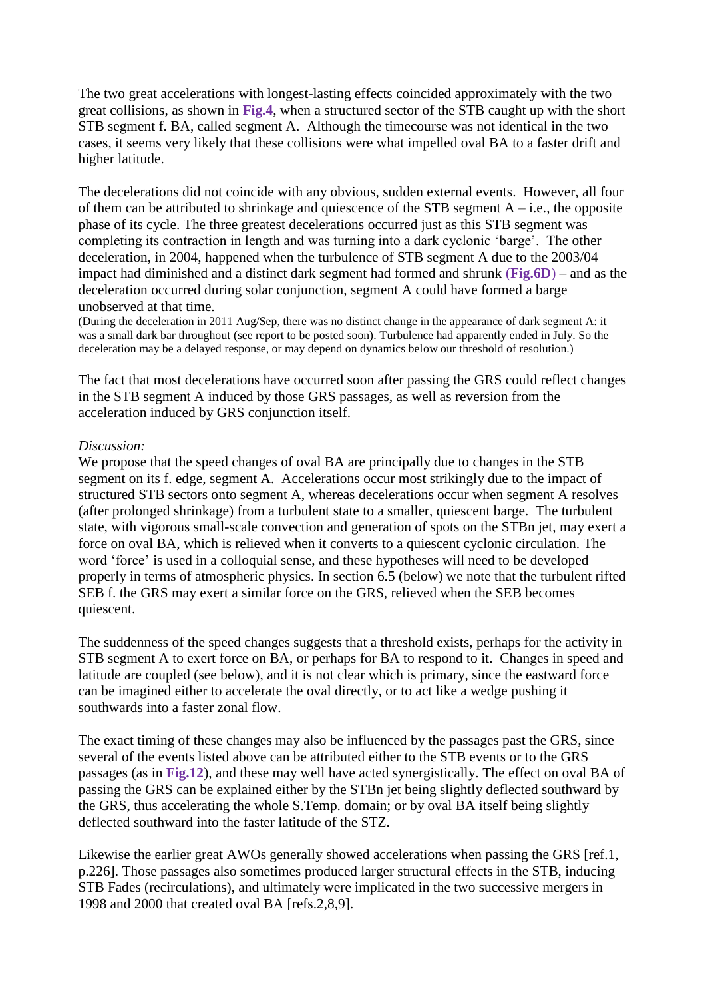The two great accelerations with longest-lasting effects coincided approximately with the two great collisions, as shown in **Fig.4**, when a structured sector of the STB caught up with the short STB segment f. BA, called segment A. Although the timecourse was not identical in the two cases, it seems very likely that these collisions were what impelled oval BA to a faster drift and higher latitude.

The decelerations did not coincide with any obvious, sudden external events. However, all four of them can be attributed to shrinkage and quiescence of the STB segment  $A - i.e.,$  the opposite phase of its cycle. The three greatest decelerations occurred just as this STB segment was completing its contraction in length and was turning into a dark cyclonic 'barge'. The other deceleration, in 2004, happened when the turbulence of STB segment A due to the 2003/04 impact had diminished and a distinct dark segment had formed and shrunk (**Fig.6D**) – and as the deceleration occurred during solar conjunction, segment A could have formed a barge unobserved at that time.

(During the deceleration in 2011 Aug/Sep, there was no distinct change in the appearance of dark segment A: it was a small dark bar throughout (see report to be posted soon). Turbulence had apparently ended in July. So the deceleration may be a delayed response, or may depend on dynamics below our threshold of resolution.)

The fact that most decelerations have occurred soon after passing the GRS could reflect changes in the STB segment A induced by those GRS passages, as well as reversion from the acceleration induced by GRS conjunction itself.

### *Discussion:*

We propose that the speed changes of oval BA are principally due to changes in the STB segment on its f. edge, segment A. Accelerations occur most strikingly due to the impact of structured STB sectors onto segment A, whereas decelerations occur when segment A resolves (after prolonged shrinkage) from a turbulent state to a smaller, quiescent barge. The turbulent state, with vigorous small-scale convection and generation of spots on the STBn jet, may exert a force on oval BA, which is relieved when it converts to a quiescent cyclonic circulation. The word 'force' is used in a colloquial sense, and these hypotheses will need to be developed properly in terms of atmospheric physics. In section 6.5 (below) we note that the turbulent rifted SEB f. the GRS may exert a similar force on the GRS, relieved when the SEB becomes quiescent.

The suddenness of the speed changes suggests that a threshold exists, perhaps for the activity in STB segment A to exert force on BA, or perhaps for BA to respond to it. Changes in speed and latitude are coupled (see below), and it is not clear which is primary, since the eastward force can be imagined either to accelerate the oval directly, or to act like a wedge pushing it southwards into a faster zonal flow.

The exact timing of these changes may also be influenced by the passages past the GRS, since several of the events listed above can be attributed either to the STB events or to the GRS passages (as in **Fig.12**), and these may well have acted synergistically. The effect on oval BA of passing the GRS can be explained either by the STBn jet being slightly deflected southward by the GRS, thus accelerating the whole S.Temp. domain; or by oval BA itself being slightly deflected southward into the faster latitude of the STZ.

Likewise the earlier great AWOs generally showed accelerations when passing the GRS [ref.1, p.226]. Those passages also sometimes produced larger structural effects in the STB, inducing STB Fades (recirculations), and ultimately were implicated in the two successive mergers in 1998 and 2000 that created oval BA [refs.2,8,9].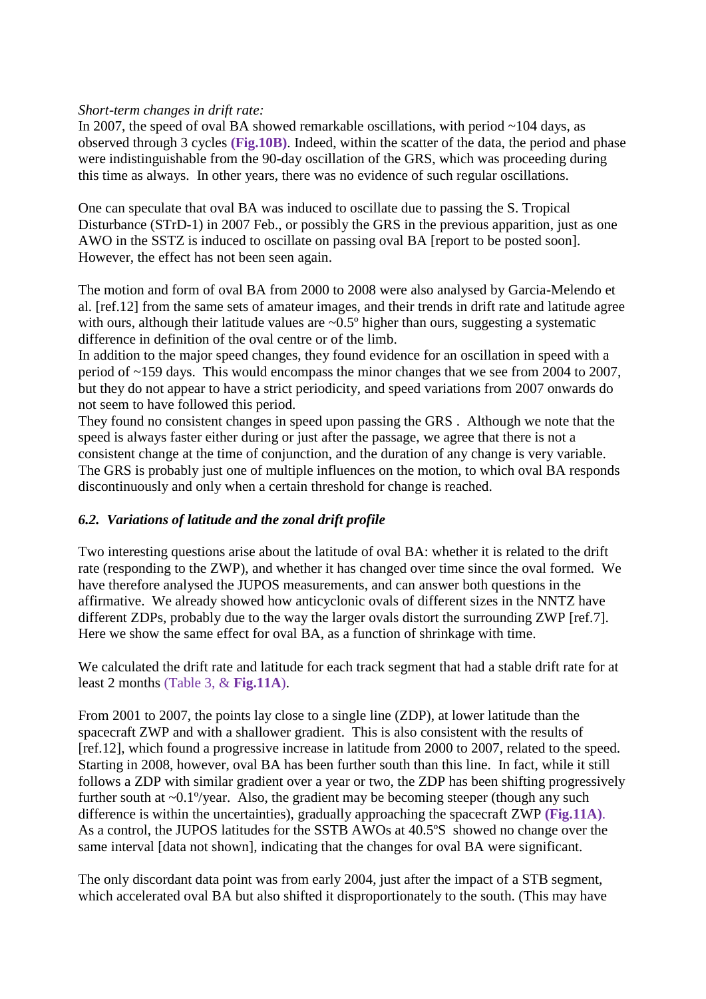### *Short-term changes in drift rate:*

In 2007, the speed of oval BA showed remarkable oscillations, with period  $\sim$ 104 days, as observed through 3 cycles **(Fig.10B)**. Indeed, within the scatter of the data, the period and phase were indistinguishable from the 90-day oscillation of the GRS, which was proceeding during this time as always. In other years, there was no evidence of such regular oscillations.

One can speculate that oval BA was induced to oscillate due to passing the S. Tropical Disturbance (STrD-1) in 2007 Feb., or possibly the GRS in the previous apparition, just as one AWO in the SSTZ is induced to oscillate on passing oval BA [report to be posted soon]. However, the effect has not been seen again.

The motion and form of oval BA from 2000 to 2008 were also analysed by Garcia-Melendo et al. [ref.12] from the same sets of amateur images, and their trends in drift rate and latitude agree with ours, although their latitude values are  $\sim 0.5^\circ$  higher than ours, suggesting a systematic difference in definition of the oval centre or of the limb.

In addition to the major speed changes, they found evidence for an oscillation in speed with a period of ~159 days. This would encompass the minor changes that we see from 2004 to 2007, but they do not appear to have a strict periodicity, and speed variations from 2007 onwards do not seem to have followed this period.

They found no consistent changes in speed upon passing the GRS . Although we note that the speed is always faster either during or just after the passage, we agree that there is not a consistent change at the time of conjunction, and the duration of any change is very variable. The GRS is probably just one of multiple influences on the motion, to which oval BA responds discontinuously and only when a certain threshold for change is reached.

## *6.2. Variations of latitude and the zonal drift profile*

Two interesting questions arise about the latitude of oval BA: whether it is related to the drift rate (responding to the ZWP), and whether it has changed over time since the oval formed. We have therefore analysed the JUPOS measurements, and can answer both questions in the affirmative. We already showed how anticyclonic ovals of different sizes in the NNTZ have different ZDPs, probably due to the way the larger ovals distort the surrounding ZWP [ref.7]. Here we show the same effect for oval BA, as a function of shrinkage with time.

We calculated the drift rate and latitude for each track segment that had a stable drift rate for at least 2 months (Table 3, & **Fig.11A**).

From 2001 to 2007, the points lay close to a single line (ZDP), at lower latitude than the spacecraft ZWP and with a shallower gradient. This is also consistent with the results of [ref.12], which found a progressive increase in latitude from 2000 to 2007, related to the speed. Starting in 2008, however, oval BA has been further south than this line. In fact, while it still follows a ZDP with similar gradient over a year or two, the ZDP has been shifting progressively further south at  $\sim 0.1^{\circ}/year$ . Also, the gradient may be becoming steeper (though any such difference is within the uncertainties), gradually approaching the spacecraft ZWP **(Fig.11A)**. As a control, the JUPOS latitudes for the SSTB AWOs at 40.5°S showed no change over the same interval [data not shown], indicating that the changes for oval BA were significant.

The only discordant data point was from early 2004, just after the impact of a STB segment, which accelerated oval BA but also shifted it disproportionately to the south. (This may have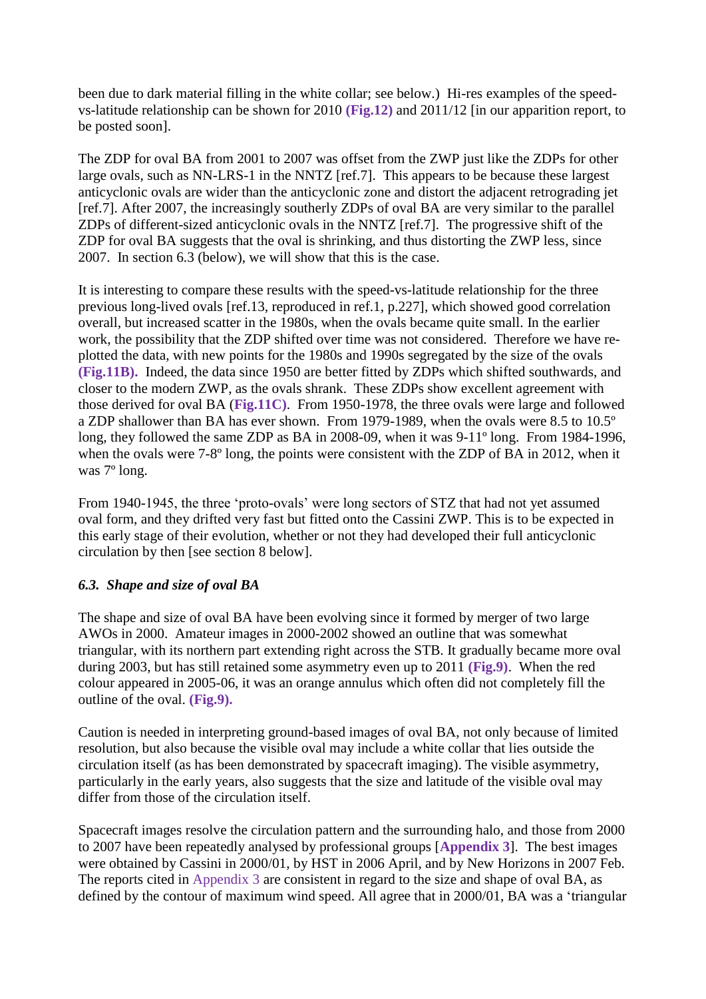been due to dark material filling in the white collar; see below.) Hi-res examples of the speedvs-latitude relationship can be shown for 2010 **(Fig.12)** and 2011/12 [in our apparition report, to be posted soon].

The ZDP for oval BA from 2001 to 2007 was offset from the ZWP just like the ZDPs for other large ovals, such as NN-LRS-1 in the NNTZ [ref.7]. This appears to be because these largest anticyclonic ovals are wider than the anticyclonic zone and distort the adjacent retrograding jet [ref.7]. After 2007, the increasingly southerly ZDPs of oval BA are very similar to the parallel ZDPs of different-sized anticyclonic ovals in the NNTZ [ref.7]. The progressive shift of the ZDP for oval BA suggests that the oval is shrinking, and thus distorting the ZWP less, since 2007. In section 6.3 (below), we will show that this is the case.

It is interesting to compare these results with the speed-vs-latitude relationship for the three previous long-lived ovals [ref.13, reproduced in ref.1, p.227], which showed good correlation overall, but increased scatter in the 1980s, when the ovals became quite small. In the earlier work, the possibility that the ZDP shifted over time was not considered. Therefore we have replotted the data, with new points for the 1980s and 1990s segregated by the size of the ovals **(Fig.11B).** Indeed, the data since 1950 are better fitted by ZDPs which shifted southwards, and closer to the modern ZWP, as the ovals shrank. These ZDPs show excellent agreement with those derived for oval BA (**Fig.11C)**. From 1950-1978, the three ovals were large and followed a ZDP shallower than BA has ever shown. From 1979-1989, when the ovals were 8.5 to 10.5º long, they followed the same ZDP as BA in 2008-09, when it was 9-11º long. From 1984-1996, when the ovals were 7-8<sup>°</sup> long, the points were consistent with the ZDP of BA in 2012, when it was 7º long.

From 1940-1945, the three 'proto-ovals' were long sectors of STZ that had not yet assumed oval form, and they drifted very fast but fitted onto the Cassini ZWP. This is to be expected in this early stage of their evolution, whether or not they had developed their full anticyclonic circulation by then [see section 8 below].

## *6.3. Shape and size of oval BA*

The shape and size of oval BA have been evolving since it formed by merger of two large AWOs in 2000. Amateur images in 2000-2002 showed an outline that was somewhat triangular, with its northern part extending right across the STB. It gradually became more oval during 2003, but has still retained some asymmetry even up to 2011 **(Fig.9)**. When the red colour appeared in 2005-06, it was an orange annulus which often did not completely fill the outline of the oval. **(Fig.9).**

Caution is needed in interpreting ground-based images of oval BA, not only because of limited resolution, but also because the visible oval may include a white collar that lies outside the circulation itself (as has been demonstrated by spacecraft imaging). The visible asymmetry, particularly in the early years, also suggests that the size and latitude of the visible oval may differ from those of the circulation itself.

Spacecraft images resolve the circulation pattern and the surrounding halo, and those from 2000 to 2007 have been repeatedly analysed by professional groups [**Appendix 3**]. The best images were obtained by Cassini in 2000/01, by HST in 2006 April, and by New Horizons in 2007 Feb. The reports cited in Appendix 3 are consistent in regard to the size and shape of oval BA, as defined by the contour of maximum wind speed. All agree that in 2000/01, BA was a 'triangular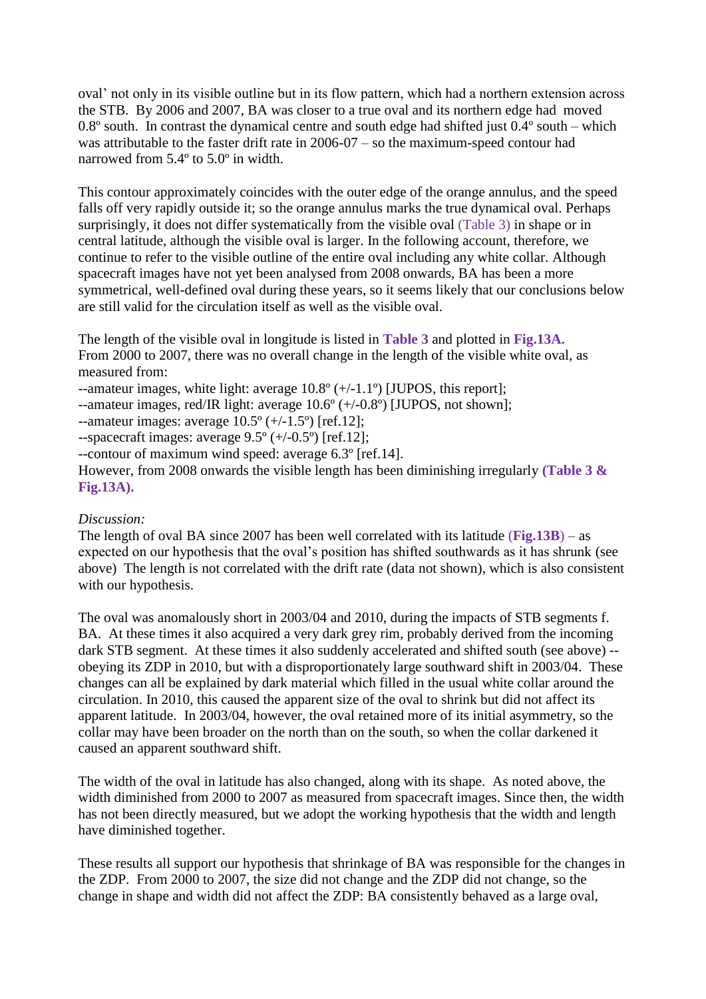oval' not only in its visible outline but in its flow pattern, which had a northern extension across the STB. By 2006 and 2007, BA was closer to a true oval and its northern edge had moved 0.8 $\degree$  south. In contrast the dynamical centre and south edge had shifted just  $0.4\degree$  south – which was attributable to the faster drift rate in 2006-07 – so the maximum-speed contour had narrowed from 5.4º to 5.0º in width.

This contour approximately coincides with the outer edge of the orange annulus, and the speed falls off very rapidly outside it; so the orange annulus marks the true dynamical oval. Perhaps surprisingly, it does not differ systematically from the visible oval (Table 3) in shape or in central latitude, although the visible oval is larger. In the following account, therefore, we continue to refer to the visible outline of the entire oval including any white collar. Although spacecraft images have not yet been analysed from 2008 onwards, BA has been a more symmetrical, well-defined oval during these years, so it seems likely that our conclusions below are still valid for the circulation itself as well as the visible oval.

The length of the visible oval in longitude is listed in **Table 3** and plotted in **Fig.13A.** From 2000 to 2007, there was no overall change in the length of the visible white oval, as measured from:

--amateur images, white light: average 10.8º (+/-1.1º) [JUPOS, this report];

--amateur images, red/IR light: average 10.6º (+/-0.8º) [JUPOS, not shown];

--amateur images: average  $10.5^{\circ}$  (+/-1.5°) [ref.12];

--spacecraft images: average  $9.5^{\circ}$  (+/-0.5°) [ref.12];

--contour of maximum wind speed: average 6.3º [ref.14].

However, from 2008 onwards the visible length has been diminishing irregularly **(Table 3 & Fig.13A).**

## *Discussion:*

The length of oval BA since 2007 has been well correlated with its latitude (**Fig.13B**) – as expected on our hypothesis that the oval's position has shifted southwards as it has shrunk (see above) The length is not correlated with the drift rate (data not shown), which is also consistent with our hypothesis.

The oval was anomalously short in 2003/04 and 2010, during the impacts of STB segments f. BA. At these times it also acquired a very dark grey rim, probably derived from the incoming dark STB segment. At these times it also suddenly accelerated and shifted south (see above) - obeying its ZDP in 2010, but with a disproportionately large southward shift in 2003/04. These changes can all be explained by dark material which filled in the usual white collar around the circulation. In 2010, this caused the apparent size of the oval to shrink but did not affect its apparent latitude. In 2003/04, however, the oval retained more of its initial asymmetry, so the collar may have been broader on the north than on the south, so when the collar darkened it caused an apparent southward shift.

The width of the oval in latitude has also changed, along with its shape. As noted above, the width diminished from 2000 to 2007 as measured from spacecraft images. Since then, the width has not been directly measured, but we adopt the working hypothesis that the width and length have diminished together.

These results all support our hypothesis that shrinkage of BA was responsible for the changes in the ZDP. From 2000 to 2007, the size did not change and the ZDP did not change, so the change in shape and width did not affect the ZDP: BA consistently behaved as a large oval,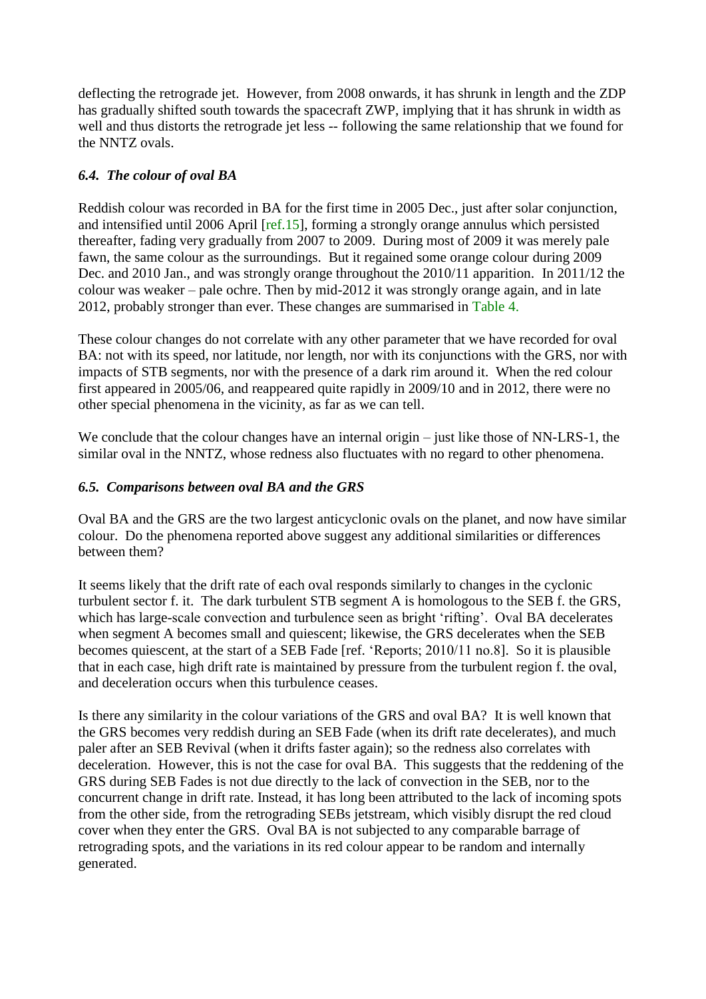deflecting the retrograde jet. However, from 2008 onwards, it has shrunk in length and the ZDP has gradually shifted south towards the spacecraft ZWP, implying that it has shrunk in width as well and thus distorts the retrograde jet less -- following the same relationship that we found for the NNTZ ovals.

# *6.4. The colour of oval BA*

Reddish colour was recorded in BA for the first time in 2005 Dec., just after solar conjunction, and intensified until 2006 April [ref.15], forming a strongly orange annulus which persisted thereafter, fading very gradually from 2007 to 2009. During most of 2009 it was merely pale fawn, the same colour as the surroundings. But it regained some orange colour during 2009 Dec. and 2010 Jan., and was strongly orange throughout the 2010/11 apparition. In 2011/12 the colour was weaker – pale ochre. Then by mid-2012 it was strongly orange again, and in late 2012, probably stronger than ever. These changes are summarised in Table 4.

These colour changes do not correlate with any other parameter that we have recorded for oval BA: not with its speed, nor latitude, nor length, nor with its conjunctions with the GRS, nor with impacts of STB segments, nor with the presence of a dark rim around it. When the red colour first appeared in 2005/06, and reappeared quite rapidly in 2009/10 and in 2012, there were no other special phenomena in the vicinity, as far as we can tell.

We conclude that the colour changes have an internal origin – just like those of NN-LRS-1, the similar oval in the NNTZ, whose redness also fluctuates with no regard to other phenomena.

## *6.5. Comparisons between oval BA and the GRS*

Oval BA and the GRS are the two largest anticyclonic ovals on the planet, and now have similar colour. Do the phenomena reported above suggest any additional similarities or differences between them?

It seems likely that the drift rate of each oval responds similarly to changes in the cyclonic turbulent sector f. it. The dark turbulent STB segment A is homologous to the SEB f. the GRS, which has large-scale convection and turbulence seen as bright 'rifting'. Oval BA decelerates when segment A becomes small and quiescent; likewise, the GRS decelerates when the SEB becomes quiescent, at the start of a SEB Fade [ref. 'Reports; 2010/11 no.8]. So it is plausible that in each case, high drift rate is maintained by pressure from the turbulent region f. the oval, and deceleration occurs when this turbulence ceases.

Is there any similarity in the colour variations of the GRS and oval BA? It is well known that the GRS becomes very reddish during an SEB Fade (when its drift rate decelerates), and much paler after an SEB Revival (when it drifts faster again); so the redness also correlates with deceleration. However, this is not the case for oval BA. This suggests that the reddening of the GRS during SEB Fades is not due directly to the lack of convection in the SEB, nor to the concurrent change in drift rate. Instead, it has long been attributed to the lack of incoming spots from the other side, from the retrograding SEBs jetstream, which visibly disrupt the red cloud cover when they enter the GRS. Oval BA is not subjected to any comparable barrage of retrograding spots, and the variations in its red colour appear to be random and internally generated.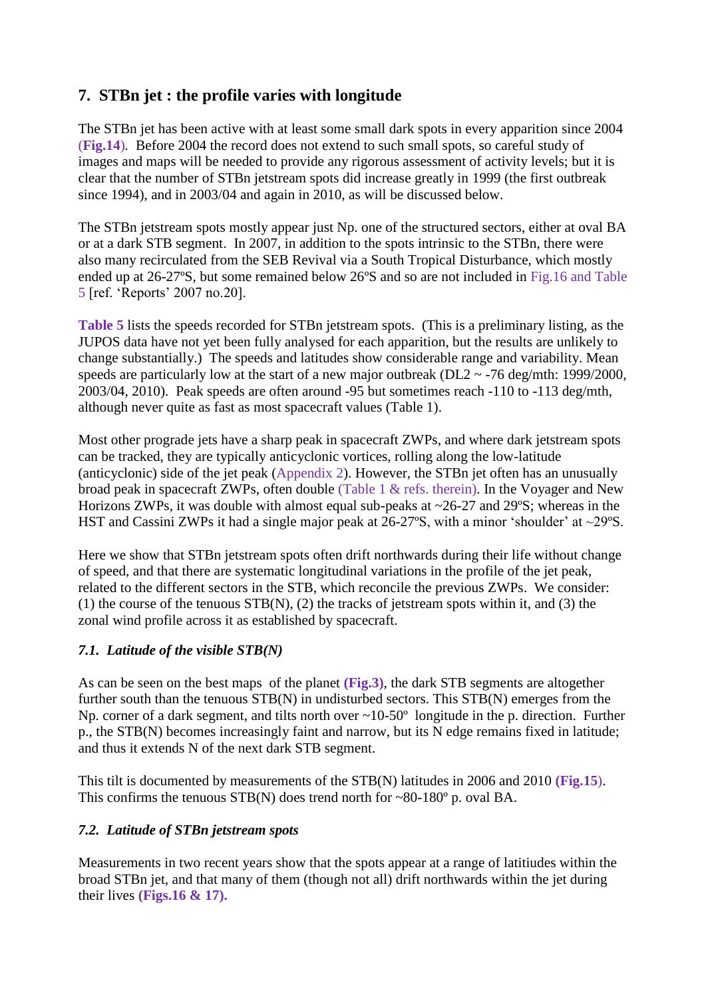# **7. STBn jet : the profile varies with longitude**

The STBn jet has been active with at least some small dark spots in every apparition since 2004 (**Fig.14**)*.* Before 2004 the record does not extend to such small spots, so careful study of images and maps will be needed to provide any rigorous assessment of activity levels; but it is clear that the number of STBn jetstream spots did increase greatly in 1999 (the first outbreak since 1994), and in 2003/04 and again in 2010, as will be discussed below.

The STBn jetstream spots mostly appear just Np. one of the structured sectors, either at oval BA or at a dark STB segment. In 2007, in addition to the spots intrinsic to the STBn, there were also many recirculated from the SEB Revival via a South Tropical Disturbance, which mostly ended up at 26-27ºS, but some remained below 26ºS and so are not included in Fig.16 and Table 5 [ref. 'Reports' 2007 no.20].

**Table 5** lists the speeds recorded for STBn jetstream spots. (This is a preliminary listing, as the JUPOS data have not yet been fully analysed for each apparition, but the results are unlikely to change substantially.) The speeds and latitudes show considerable range and variability. Mean speeds are particularly low at the start of a new major outbreak ( $DL2 \sim 76$  deg/mth: 1999/2000, 2003/04, 2010). Peak speeds are often around -95 but sometimes reach -110 to -113 deg/mth, although never quite as fast as most spacecraft values (Table 1).

Most other prograde jets have a sharp peak in spacecraft ZWPs, and where dark jetstream spots can be tracked, they are typically anticyclonic vortices, rolling along the low-latitude (anticyclonic) side of the jet peak (Appendix 2). However, the STBn jet often has an unusually broad peak in spacecraft ZWPs, often double (Table 1 & refs. therein). In the Voyager and New Horizons ZWPs, it was double with almost equal sub-peaks at ~26-27 and 29°S; whereas in the HST and Cassini ZWPs it had a single major peak at 26-27°S, with a minor 'shoulder' at ~29°S.

Here we show that STBn jetstream spots often drift northwards during their life without change of speed, and that there are systematic longitudinal variations in the profile of the jet peak, related to the different sectors in the STB, which reconcile the previous ZWPs. We consider: (1) the course of the tenuous  $STB(N)$ , (2) the tracks of jetstream spots within it, and (3) the zonal wind profile across it as established by spacecraft.

# *7.1. Latitude of the visible STB(N)*

As can be seen on the best maps of the planet **(Fig.3)**, the dark STB segments are altogether further south than the tenuous STB(N) in undisturbed sectors. This STB(N) emerges from the Np. corner of a dark segment, and tilts north over ~10-50° longitude in the p. direction. Further p., the STB(N) becomes increasingly faint and narrow, but its N edge remains fixed in latitude; and thus it extends N of the next dark STB segment.

This tilt is documented by measurements of the STB(N) latitudes in 2006 and 2010 **(Fig.15**). This confirms the tenuous  $STB(N)$  does trend north for ~80-180 $^{\circ}$  p. oval BA.

# *7.2. Latitude of STBn jetstream spots*

Measurements in two recent years show that the spots appear at a range of latitiudes within the broad STBn jet, and that many of them (though not all) drift northwards within the jet during their lives **(Figs.16 & 17).**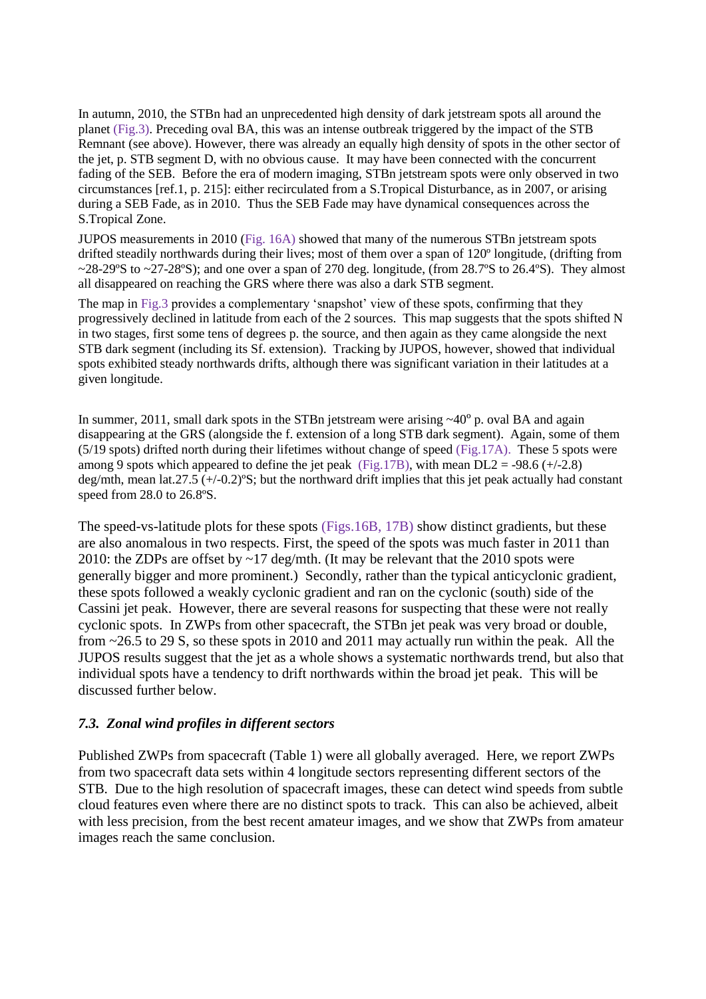In autumn, 2010, the STBn had an unprecedented high density of dark jetstream spots all around the planet (Fig.3). Preceding oval BA, this was an intense outbreak triggered by the impact of the STB Remnant (see above). However, there was already an equally high density of spots in the other sector of the jet, p. STB segment D, with no obvious cause. It may have been connected with the concurrent fading of the SEB. Before the era of modern imaging, STBn jetstream spots were only observed in two circumstances [ref.1, p. 215]: either recirculated from a S.Tropical Disturbance, as in 2007, or arising during a SEB Fade, as in 2010. Thus the SEB Fade may have dynamical consequences across the S.Tropical Zone.

JUPOS measurements in 2010 (Fig. 16A) showed that many of the numerous STBn jetstream spots drifted steadily northwards during their lives; most of them over a span of 120º longitude, (drifting from  $\sim$ 28-29°S to  $\sim$ 27-28°S); and one over a span of 270 deg. longitude, (from 28.7°S to 26.4°S). They almost all disappeared on reaching the GRS where there was also a dark STB segment.

The map in Fig.3 provides a complementary 'snapshot' view of these spots, confirming that they progressively declined in latitude from each of the 2 sources. This map suggests that the spots shifted N in two stages, first some tens of degrees p. the source, and then again as they came alongside the next STB dark segment (including its Sf. extension). Tracking by JUPOS, however, showed that individual spots exhibited steady northwards drifts, although there was significant variation in their latitudes at a given longitude.

In summer, 2011, small dark spots in the STBn jetstream were arising ~40<sup>°</sup> p. oval BA and again disappearing at the GRS (alongside the f. extension of a long STB dark segment). Again, some of them  $(5/19 \text{ spots})$  drifted north during their lifetimes without change of speed (Fig.17A). These 5 spots were among 9 spots which appeared to define the jet peak (Fig.17B), with mean  $DL2 = -98.6$  (+/-2.8) deg/mth, mean lat.27.5 (+/-0.2)ºS; but the northward drift implies that this jet peak actually had constant speed from 28.0 to 26.8ºS.

The speed-vs-latitude plots for these spots (Figs.16B, 17B) show distinct gradients, but these are also anomalous in two respects. First, the speed of the spots was much faster in 2011 than 2010: the ZDPs are offset by ~17 deg/mth. (It may be relevant that the 2010 spots were generally bigger and more prominent.) Secondly, rather than the typical anticyclonic gradient, these spots followed a weakly cyclonic gradient and ran on the cyclonic (south) side of the Cassini jet peak. However, there are several reasons for suspecting that these were not really cyclonic spots. In ZWPs from other spacecraft, the STBn jet peak was very broad or double, from ~26.5 to 29 S, so these spots in 2010 and 2011 may actually run within the peak. All the JUPOS results suggest that the jet as a whole shows a systematic northwards trend, but also that individual spots have a tendency to drift northwards within the broad jet peak. This will be discussed further below.

#### *7.3. Zonal wind profiles in different sectors*

Published ZWPs from spacecraft (Table 1) were all globally averaged. Here, we report ZWPs from two spacecraft data sets within 4 longitude sectors representing different sectors of the STB. Due to the high resolution of spacecraft images, these can detect wind speeds from subtle cloud features even where there are no distinct spots to track. This can also be achieved, albeit with less precision, from the best recent amateur images, and we show that ZWPs from amateur images reach the same conclusion.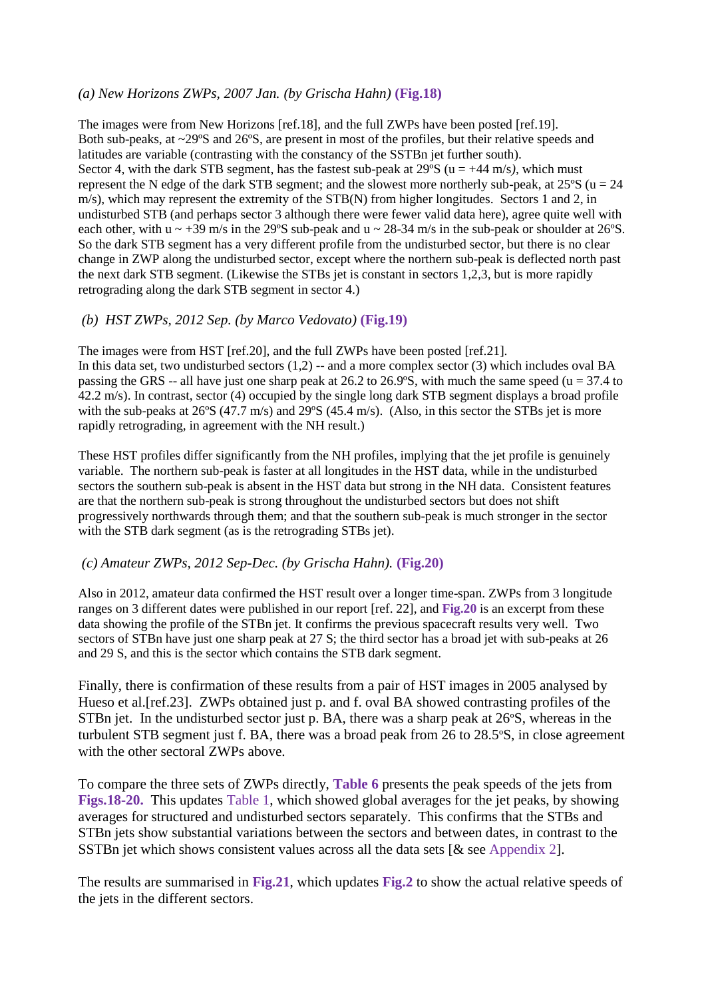#### *(a) New Horizons ZWPs, 2007 Jan. (by Grischa Hahn)* **(Fig.18)**

The images were from New Horizons [ref.18], and the full ZWPs have been posted [ref.19]. Both sub-peaks, at ~29ºS and 26ºS, are present in most of the profiles, but their relative speeds and latitudes are variable (contrasting with the constancy of the SSTBn jet further south). Sector 4, with the dark STB segment, has the fastest sub-peak at  $29^{\circ}S$  (u =  $+44$  m/s), which must represent the N edge of the dark STB segment; and the slowest more northerly sub-peak, at  $25\degree S$  (u = 24 m/s), which may represent the extremity of the STB(N) from higher longitudes. Sectors 1 and 2, in undisturbed STB (and perhaps sector 3 although there were fewer valid data here), agree quite well with each other, with u  $\sim$  +39 m/s in the 29°S sub-peak and u  $\sim$  28-34 m/s in the sub-peak or shoulder at 26°S. So the dark STB segment has a very different profile from the undisturbed sector, but there is no clear change in ZWP along the undisturbed sector, except where the northern sub-peak is deflected north past the next dark STB segment. (Likewise the STBs jet is constant in sectors 1,2,3, but is more rapidly retrograding along the dark STB segment in sector 4.)

#### *(b) HST ZWPs, 2012 Sep. (by Marco Vedovato)* **(Fig.19)**

The images were from HST [ref.20], and the full ZWPs have been posted [ref.21]. In this data set, two undisturbed sectors  $(1,2)$  -- and a more complex sector  $(3)$  which includes oval BA passing the GRS -- all have just one sharp peak at 26.2 to 26.9°S, with much the same speed ( $u = 37.4$  to 42.2 m/s). In contrast, sector (4) occupied by the single long dark STB segment displays a broad profile with the sub-peaks at 26°S (47.7 m/s) and 29°S (45.4 m/s). (Also, in this sector the STBs jet is more rapidly retrograding, in agreement with the NH result.)

These HST profiles differ significantly from the NH profiles, implying that the jet profile is genuinely variable. The northern sub-peak is faster at all longitudes in the HST data, while in the undisturbed sectors the southern sub-peak is absent in the HST data but strong in the NH data. Consistent features are that the northern sub-peak is strong throughout the undisturbed sectors but does not shift progressively northwards through them; and that the southern sub-peak is much stronger in the sector with the STB dark segment (as is the retrograding STBs jet).

#### *(c) Amateur ZWPs, 2012 Sep-Dec. (by Grischa Hahn).* **(Fig.20)**

Also in 2012, amateur data confirmed the HST result over a longer time-span. ZWPs from 3 longitude ranges on 3 different dates were published in our report [ref. 22], and **Fig.20** is an excerpt from these data showing the profile of the STBn jet. It confirms the previous spacecraft results very well. Two sectors of STBn have just one sharp peak at 27 S; the third sector has a broad jet with sub-peaks at 26 and 29 S, and this is the sector which contains the STB dark segment.

Finally, there is confirmation of these results from a pair of HST images in 2005 analysed by Hueso et al.[ref.23]. ZWPs obtained just p. and f. oval BA showed contrasting profiles of the STBn jet. In the undisturbed sector just p. BA, there was a sharp peak at 26ºS, whereas in the turbulent STB segment just f. BA, there was a broad peak from 26 to 28.5ºS, in close agreement with the other sectoral ZWPs above.

To compare the three sets of ZWPs directly, **Table 6** presents the peak speeds of the jets from **Figs.18-20.** This updates Table 1, which showed global averages for the jet peaks, by showing averages for structured and undisturbed sectors separately. This confirms that the STBs and STBn jets show substantial variations between the sectors and between dates, in contrast to the SSTBn jet which shows consistent values across all the data sets [& see Appendix 2].

The results are summarised in **Fig.21**, which updates **Fig.2** to show the actual relative speeds of the jets in the different sectors.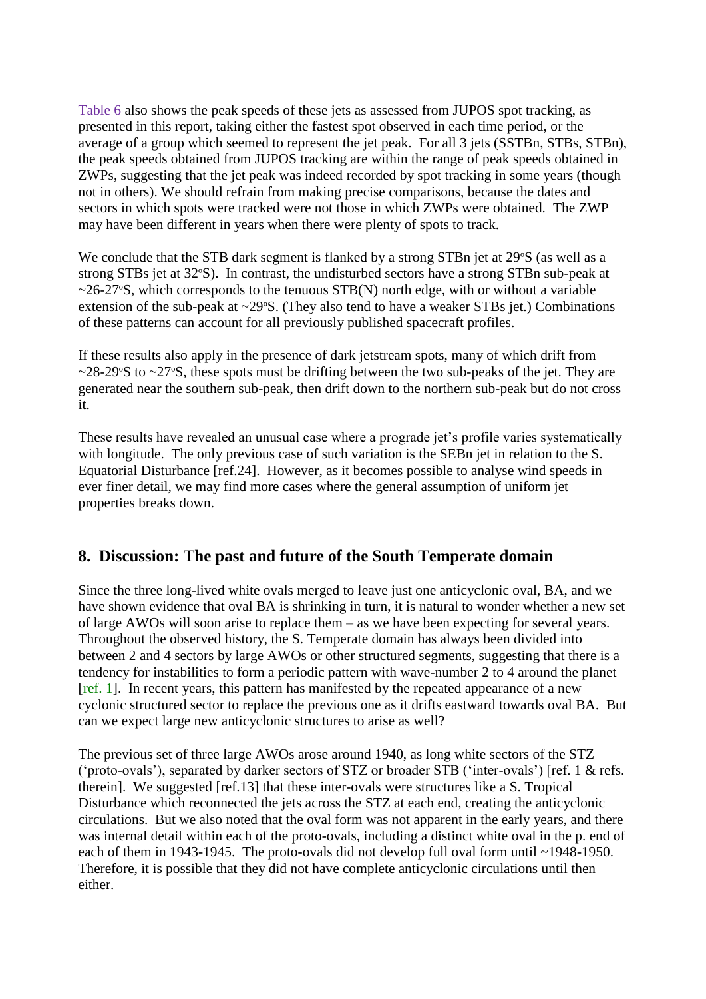Table 6 also shows the peak speeds of these jets as assessed from JUPOS spot tracking, as presented in this report, taking either the fastest spot observed in each time period, or the average of a group which seemed to represent the jet peak. For all 3 jets (SSTBn, STBs, STBn), the peak speeds obtained from JUPOS tracking are within the range of peak speeds obtained in ZWPs, suggesting that the jet peak was indeed recorded by spot tracking in some years (though not in others). We should refrain from making precise comparisons, because the dates and sectors in which spots were tracked were not those in which ZWPs were obtained. The ZWP may have been different in years when there were plenty of spots to track.

We conclude that the STB dark segment is flanked by a strong STBn jet at 29°S (as well as a strong STBs jet at 32ºS). In contrast, the undisturbed sectors have a strong STBn sub-peak at  $\sim$ 26-27°S, which corresponds to the tenuous STB(N) north edge, with or without a variable extension of the sub-peak at ~29ºS. (They also tend to have a weaker STBs jet.) Combinations of these patterns can account for all previously published spacecraft profiles.

If these results also apply in the presence of dark jetstream spots, many of which drift from  $\sim$ 28-29°S to  $\sim$ 27°S, these spots must be drifting between the two sub-peaks of the jet. They are generated near the southern sub-peak, then drift down to the northern sub-peak but do not cross it.

These results have revealed an unusual case where a prograde jet's profile varies systematically with longitude. The only previous case of such variation is the SEBn jet in relation to the S. Equatorial Disturbance [ref.24]. However, as it becomes possible to analyse wind speeds in ever finer detail, we may find more cases where the general assumption of uniform jet properties breaks down.

# **8. Discussion: The past and future of the South Temperate domain**

Since the three long-lived white ovals merged to leave just one anticyclonic oval, BA, and we have shown evidence that oval BA is shrinking in turn, it is natural to wonder whether a new set of large AWOs will soon arise to replace them – as we have been expecting for several years. Throughout the observed history, the S. Temperate domain has always been divided into between 2 and 4 sectors by large AWOs or other structured segments, suggesting that there is a tendency for instabilities to form a periodic pattern with wave-number 2 to 4 around the planet [ref. 1]. In recent years, this pattern has manifested by the repeated appearance of a new cyclonic structured sector to replace the previous one as it drifts eastward towards oval BA. But can we expect large new anticyclonic structures to arise as well?

The previous set of three large AWOs arose around 1940, as long white sectors of the STZ ('proto-ovals'), separated by darker sectors of STZ or broader STB ('inter-ovals') [ref. 1 & refs. therein]. We suggested [ref.13] that these inter-ovals were structures like a S. Tropical Disturbance which reconnected the jets across the STZ at each end, creating the anticyclonic circulations. But we also noted that the oval form was not apparent in the early years, and there was internal detail within each of the proto-ovals, including a distinct white oval in the p. end of each of them in 1943-1945. The proto-ovals did not develop full oval form until ~1948-1950. Therefore, it is possible that they did not have complete anticyclonic circulations until then either.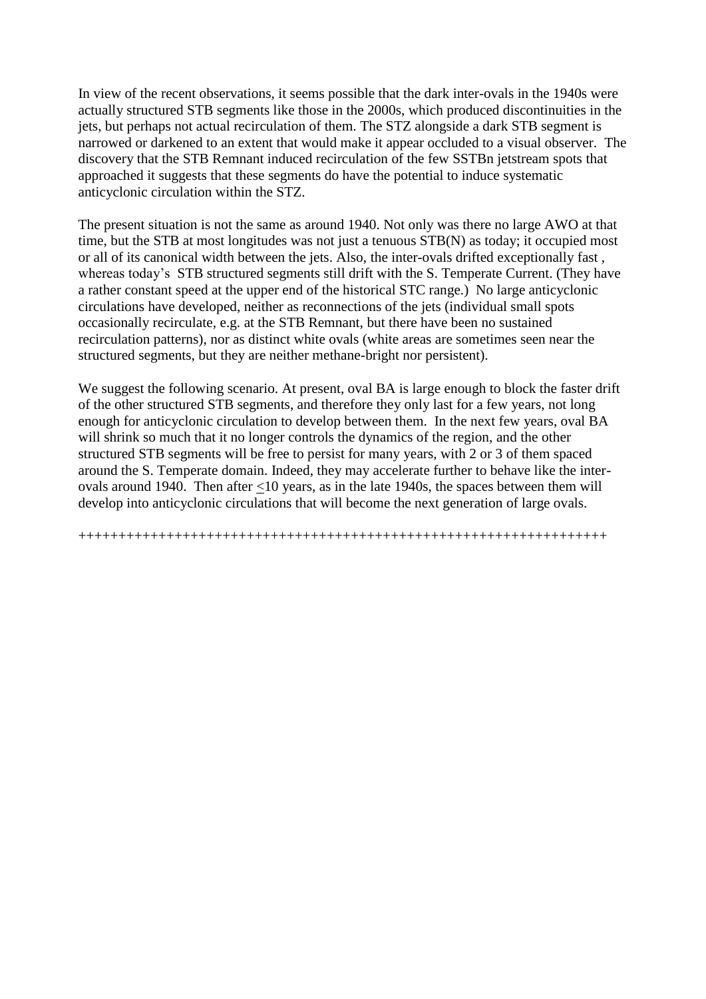In view of the recent observations, it seems possible that the dark inter-ovals in the 1940s were actually structured STB segments like those in the 2000s, which produced discontinuities in the jets, but perhaps not actual recirculation of them. The STZ alongside a dark STB segment is narrowed or darkened to an extent that would make it appear occluded to a visual observer. The discovery that the STB Remnant induced recirculation of the few SSTBn jetstream spots that approached it suggests that these segments do have the potential to induce systematic anticyclonic circulation within the STZ.

The present situation is not the same as around 1940. Not only was there no large AWO at that time, but the STB at most longitudes was not just a tenuous STB(N) as today; it occupied most or all of its canonical width between the jets. Also, the inter-ovals drifted exceptionally fast , whereas today's STB structured segments still drift with the S. Temperate Current. (They have a rather constant speed at the upper end of the historical STC range.) No large anticyclonic circulations have developed, neither as reconnections of the jets (individual small spots occasionally recirculate, e.g. at the STB Remnant, but there have been no sustained recirculation patterns), nor as distinct white ovals (white areas are sometimes seen near the structured segments, but they are neither methane-bright nor persistent).

We suggest the following scenario. At present, oval BA is large enough to block the faster drift of the other structured STB segments, and therefore they only last for a few years, not long enough for anticyclonic circulation to develop between them. In the next few years, oval BA will shrink so much that it no longer controls the dynamics of the region, and the other structured STB segments will be free to persist for many years, with 2 or 3 of them spaced around the S. Temperate domain. Indeed, they may accelerate further to behave like the interovals around 1940. Then after <10 years, as in the late 1940s, the spaces between them will develop into anticyclonic circulations that will become the next generation of large ovals.

++++++++++++++++++++++++++++++++++++++++++++++++++++++++++++++++++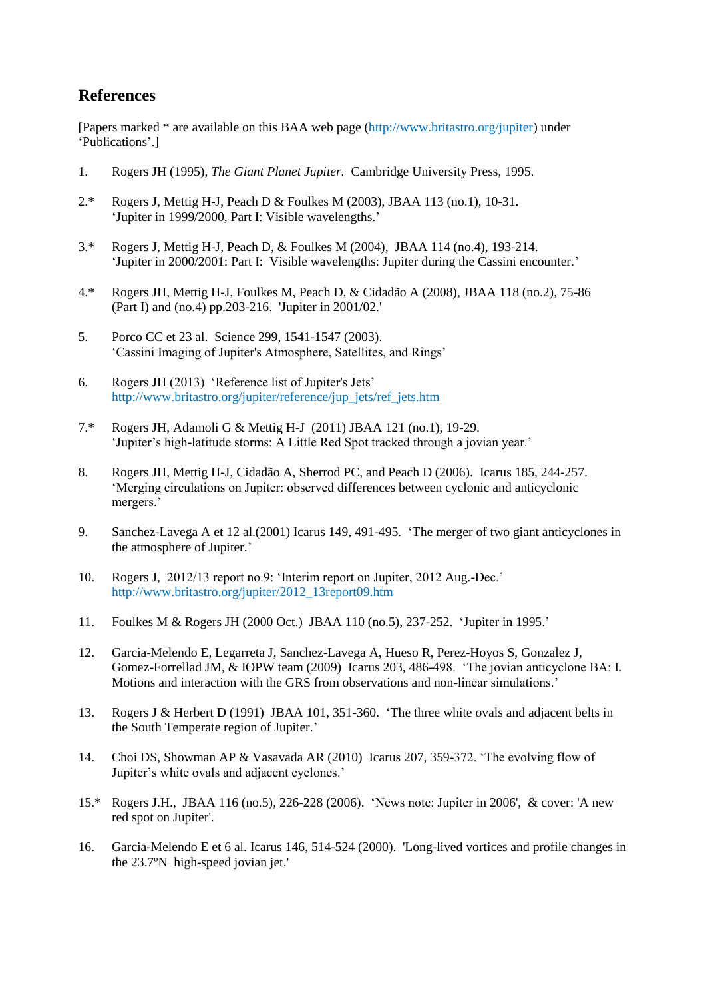# **References**

[Papers marked \* are available on this BAA web page (http://www.britastro.org/jupiter) under 'Publications'.]

- 1. Rogers JH (1995), *The Giant Planet Jupiter.* Cambridge University Press, 1995.
- 2.\* Rogers J, Mettig H-J, Peach D & Foulkes M (2003), JBAA 113 (no.1), 10-31. 'Jupiter in 1999/2000, Part I: Visible wavelengths.'
- 3.\* Rogers J, Mettig H-J, Peach D, & Foulkes M (2004), JBAA 114 (no.4), 193-214. 'Jupiter in 2000/2001: Part I: Visible wavelengths: Jupiter during the Cassini encounter.'
- 4.\* Rogers JH, Mettig H-J, Foulkes M, Peach D, & Cidadão A (2008), JBAA 118 (no.2), 75-86 (Part I) and (no.4) pp.203-216. 'Jupiter in 2001/02.'
- 5. Porco CC et 23 al. Science 299, 1541-1547 (2003). 'Cassini Imaging of Jupiter's Atmosphere, Satellites, and Rings'
- 6. Rogers JH (2013) 'Reference list of Jupiter's Jets' http://www.britastro.org/jupiter/reference/jup\_jets/ref\_jets.htm
- 7.\* Rogers JH, Adamoli G & Mettig H-J (2011) JBAA 121 (no.1), 19-29. 'Jupiter's high-latitude storms: A Little Red Spot tracked through a jovian year.'
- 8. Rogers JH, Mettig H-J, Cidadão A, Sherrod PC, and Peach D (2006). Icarus 185, 244-257. 'Merging circulations on Jupiter: observed differences between cyclonic and anticyclonic mergers.'
- 9. Sanchez-Lavega A et 12 al.(2001) Icarus 149, 491-495. 'The merger of two giant anticyclones in the atmosphere of Jupiter.'
- 10. Rogers J, 2012/13 report no.9: 'Interim report on Jupiter, 2012 Aug.-Dec.' http://www.britastro.org/jupiter/2012\_13report09.htm
- 11. Foulkes M & Rogers JH (2000 Oct.) JBAA 110 (no.5), 237-252. 'Jupiter in 1995.'
- 12. Garcia-Melendo E, Legarreta J, Sanchez-Lavega A, Hueso R, Perez-Hoyos S, Gonzalez J, Gomez-Forrellad JM, & IOPW team (2009) Icarus 203, 486-498. 'The jovian anticyclone BA: I. Motions and interaction with the GRS from observations and non-linear simulations.'
- 13. Rogers J & Herbert D (1991) JBAA 101, 351-360. 'The three white ovals and adjacent belts in the South Temperate region of Jupiter.'
- 14. Choi DS, Showman AP & Vasavada AR (2010) Icarus 207, 359-372. 'The evolving flow of Jupiter's white ovals and adjacent cyclones.'
- 15.\* Rogers J.H., JBAA 116 (no.5), 226-228 (2006). 'News note: Jupiter in 2006', & cover: 'A new red spot on Jupiter'.
- 16. Garcia-Melendo E et 6 al. Icarus 146, 514-524 (2000). 'Long-lived vortices and profile changes in the 23.7ºN high-speed jovian jet.'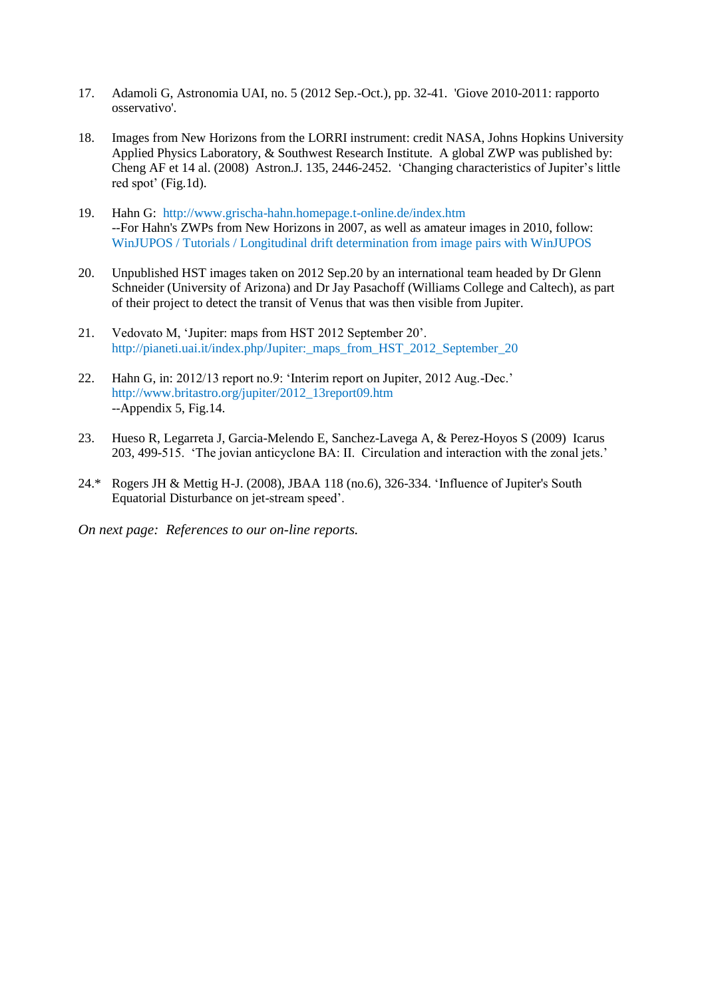- 17. Adamoli G, Astronomia UAI, no. 5 (2012 Sep.-Oct.), pp. 32-41. 'Giove 2010-2011: rapporto osservativo'.
- 18. Images from New Horizons from the LORRI instrument: credit NASA, Johns Hopkins University Applied Physics Laboratory, & Southwest Research Institute. A global ZWP was published by: Cheng AF et 14 al. (2008) Astron.J. 135, 2446-2452. 'Changing characteristics of Jupiter's little red spot' (Fig.1d).
- 19. Hahn G: http://www.grischa-hahn.homepage.t-online.de/index.htm --For Hahn's ZWPs from New Horizons in 2007, as well as amateur images in 2010, follow: WinJUPOS / Tutorials / Longitudinal drift determination from image pairs with WinJUPOS
- 20. Unpublished HST images taken on 2012 Sep.20 by an international team headed by Dr Glenn Schneider (University of Arizona) and Dr Jay Pasachoff (Williams College and Caltech), as part of their project to detect the transit of Venus that was then visible from Jupiter.
- 21. Vedovato M, 'Jupiter: maps from HST 2012 September 20'. http://pianeti.uai.it/index.php/Jupiter: maps from HST\_2012\_September\_20
- 22. Hahn G, in: 2012/13 report no.9: 'Interim report on Jupiter, 2012 Aug.-Dec.' http://www.britastro.org/jupiter/2012\_13report09.htm --Appendix 5, Fig.14.
- 23. Hueso R, Legarreta J, Garcia-Melendo E, Sanchez-Lavega A, & Perez-Hoyos S (2009) Icarus 203, 499-515. 'The jovian anticyclone BA: II. Circulation and interaction with the zonal jets.'
- 24.\* Rogers JH & Mettig H-J. (2008), JBAA 118 (no.6), 326-334. 'Influence of Jupiter's South Equatorial Disturbance on jet-stream speed'.

*On next page: References to our on-line reports.*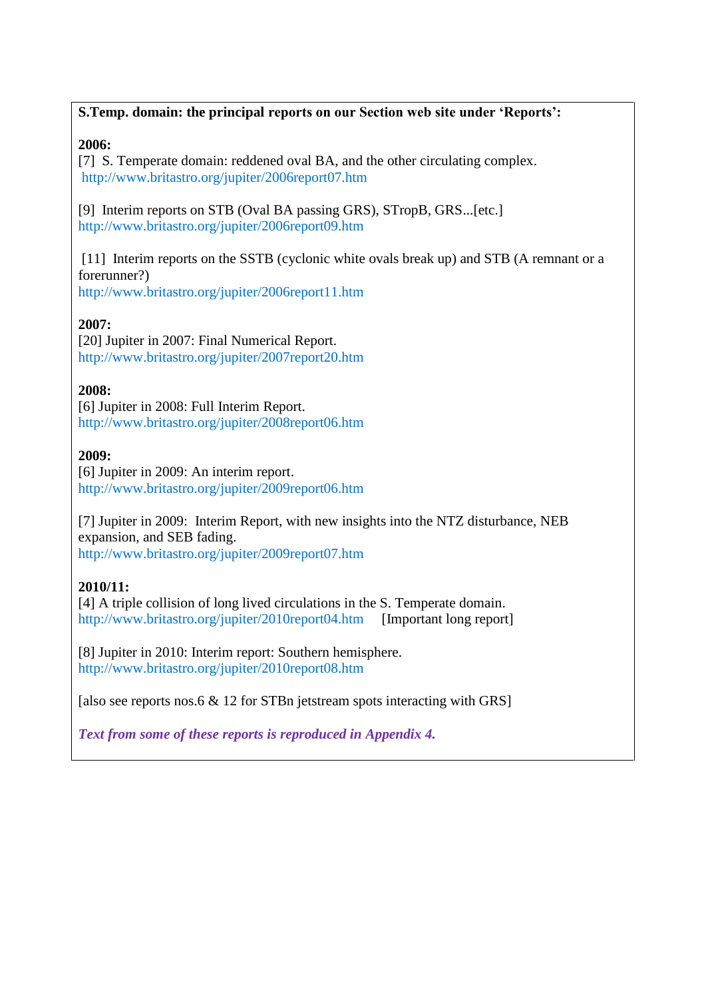## **S.Temp. domain: the principal reports on our Section web site under 'Reports':**

### **2006:**

[7] S. Temperate domain: reddened oval BA, and the other circulating complex. http://www.britastro.org/jupiter/2006report07.htm

[9] Interim reports on STB (Oval BA passing GRS), STropB, GRS...[etc.] http://www.britastro.org/jupiter/2006report09.htm

[11] Interim reports on the SSTB (cyclonic white ovals break up) and STB (A remnant or a forerunner?) http://www.britastro.org/jupiter/2006report11.htm

## **2007:**

[20] Jupiter in 2007: Final Numerical Report. http://www.britastro.org/jupiter/2007report20.htm

### **2008:**

[6] Jupiter in 2008: Full Interim Report. http://www.britastro.org/jupiter/2008report06.htm

### **2009:**

[6] Jupiter in 2009: An interim report. http://www.britastro.org/jupiter/2009report06.htm

[7] Jupiter in 2009: Interim Report, with new insights into the NTZ disturbance, NEB expansion, and SEB fading. http://www.britastro.org/jupiter/2009report07.htm

## **2010/11:**

[4] A triple collision of long lived circulations in the S. Temperate domain. http://www.britastro.org/jupiter/2010report04.htm [Important long report]

[8] Jupiter in 2010: Interim report: Southern hemisphere. http://www.britastro.org/jupiter/2010report08.htm

[also see reports nos.6  $\&$  12 for STBn jetstream spots interacting with GRS]

*Text from some of these reports is reproduced in Appendix 4.*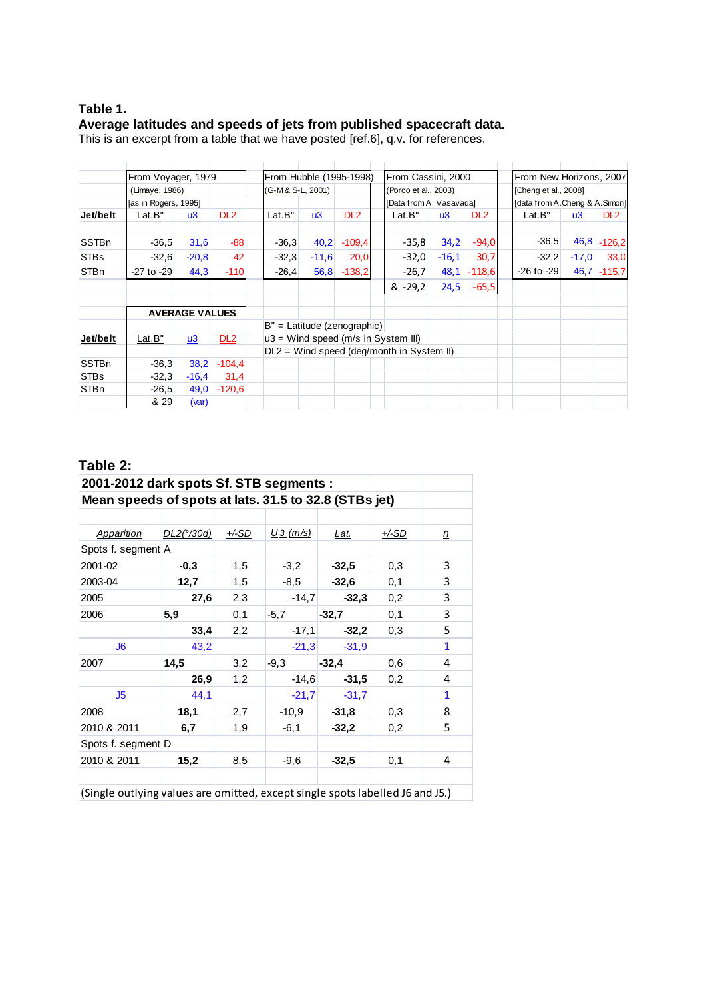#### **Table 1. Average latitudes and speeds of jets from published spacecraft data.**

This is an excerpt from a table that we have posted [ref.6], q.v. for references.

|              | From Voyager, 1979   |                       | From Hubble (1995-1998) |                   |         | From Cassini, 2000             |  |                                           |         | From New Horizons, 2007 |  |                               |         |                 |
|--------------|----------------------|-----------------------|-------------------------|-------------------|---------|--------------------------------|--|-------------------------------------------|---------|-------------------------|--|-------------------------------|---------|-----------------|
|              | (Limaye, 1986)       |                       |                         | (G-M & S-L, 2001) |         |                                |  | (Porco et al., 2003)                      |         |                         |  | [Cheng et al., 2008]          |         |                 |
|              | [as in Rogers, 1995] |                       |                         |                   |         |                                |  | [Data from A. Vasavada]                   |         |                         |  | [data from A.Cheng & A.Simon] |         |                 |
| Jet/belt     | Lat.B"               | $u3$                  | DL2                     | Lat.B"            | u3      | DL2                            |  | <u>Lat.B"</u>                             | $u3$    | DL <sub>2</sub>         |  | Lat.B"                        | $u3$    | DL <sub>2</sub> |
|              |                      |                       |                         |                   |         |                                |  |                                           |         |                         |  |                               |         |                 |
| <b>SSTBn</b> | $-36,5$              | 31,6                  | $-88$                   | $-36,3$           | 40,2    | $-109,4$                       |  | $-35,8$                                   | 34,2    | $-94,0$                 |  | $-36.5$                       | 46,8    | $-126,2$        |
| <b>STBs</b>  | $-32,6$              | $-20,8$               | 42                      | $-32,3$           | $-11,6$ | 20,0                           |  | $-32,0$                                   | $-16,1$ | 30,7                    |  | $-32,2$                       | $-17,0$ | 33,0            |
| <b>STBn</b>  | $-27$ to $-29$       | 44,3                  | $-110$                  | $-26,4$           | 56,8    | $-138,2$                       |  | $-26,7$                                   | 48,1    | $-118,6$                |  | $-26$ to $-29$                | 46,7    | $-115,7$        |
|              |                      |                       |                         |                   |         |                                |  | $8 - 29.2$                                | 24,5    | $-65,5$                 |  |                               |         |                 |
|              |                      |                       |                         |                   |         |                                |  |                                           |         |                         |  |                               |         |                 |
|              |                      | <b>AVERAGE VALUES</b> |                         |                   |         |                                |  |                                           |         |                         |  |                               |         |                 |
|              |                      |                       |                         |                   |         | $B'' =$ Latitude (zenographic) |  |                                           |         |                         |  |                               |         |                 |
| Jet/belt     | Lat.B"               | $\underline{u3}$      | DL2                     |                   |         |                                |  | $u3 =$ Wind speed (m/s in System III)     |         |                         |  |                               |         |                 |
|              |                      |                       |                         |                   |         |                                |  | DL2 = Wind speed (deg/month in System II) |         |                         |  |                               |         |                 |
| <b>SSTBn</b> | $-36.3$              | 38,2                  | $-104.4$                |                   |         |                                |  |                                           |         |                         |  |                               |         |                 |
| <b>STBs</b>  | $-32.3$              | $-16,4$               | 31,4                    |                   |         |                                |  |                                           |         |                         |  |                               |         |                 |
| STBn         | $-26,5$              | 49,0                  | $-120,6$                |                   |         |                                |  |                                           |         |                         |  |                               |         |                 |
|              | & 29                 | (var)                 |                         |                   |         |                                |  |                                           |         |                         |  |                               |         |                 |

### **Table 2:**

| 2001-2012 dark spots Sf. STB segments :               |                   |              |             |             |              |   |
|-------------------------------------------------------|-------------------|--------------|-------------|-------------|--------------|---|
| Mean speeds of spots at lats. 31.5 to 32.8 (STBs jet) |                   |              |             |             |              |   |
|                                                       |                   |              |             |             |              |   |
| <b>Apparition</b>                                     | <u>DL2(°/30d)</u> | <u>+/-SD</u> | $U_3$ (m/s) | <u>Lat.</u> | <u>+/-SD</u> | n |
| Spots f. segment A                                    |                   |              |             |             |              |   |
| 2001-02                                               | $-0,3$            | 1,5          | $-3,2$      | $-32,5$     | 0,3          | 3 |
| 2003-04                                               | 12,7              | 1,5          | -8.5        | $-32,6$     | 0,1          | 3 |
| 2005                                                  | 27,6              | 2,3          | $-14,7$     | $-32,3$     | 0,2          | 3 |
| 2006                                                  | 5,9               | 0,1          | $-5,7$      | $-32.7$     | 0,1          | 3 |
|                                                       | 33,4              | 2,2          | $-17,1$     | $-32,2$     | 0,3          | 5 |
| J6                                                    | 43,2              |              | $-21,3$     | $-31,9$     |              | 1 |
| 2007                                                  | 14,5              | 3,2          | $-9,3$      | $-32,4$     | 0,6          | 4 |
|                                                       | 26,9              | 1,2          | $-14,6$     | $-31,5$     | 0,2          | 4 |
| J <sub>5</sub>                                        | 44,1              |              | $-21,7$     | $-31.7$     |              | 1 |
| 2008                                                  | 18,1              | 2,7          | $-10.9$     | $-31.8$     | 0,3          | 8 |
| 2010 & 2011                                           | 6,7               | 1,9          | $-6,1$      | $-32,2$     | 0,2          | 5 |
| Spots f. segment D                                    |                   |              |             |             |              |   |
| 2010 & 2011                                           | 15,2              | 8,5          | $-9,6$      | $-32,5$     | 0,1          | 4 |
|                                                       |                   |              |             |             |              |   |
| $\mathbf{r}$                                          |                   |              |             |             |              |   |

(Single outlying values are omitted, except single spots labelled J6 and J5.)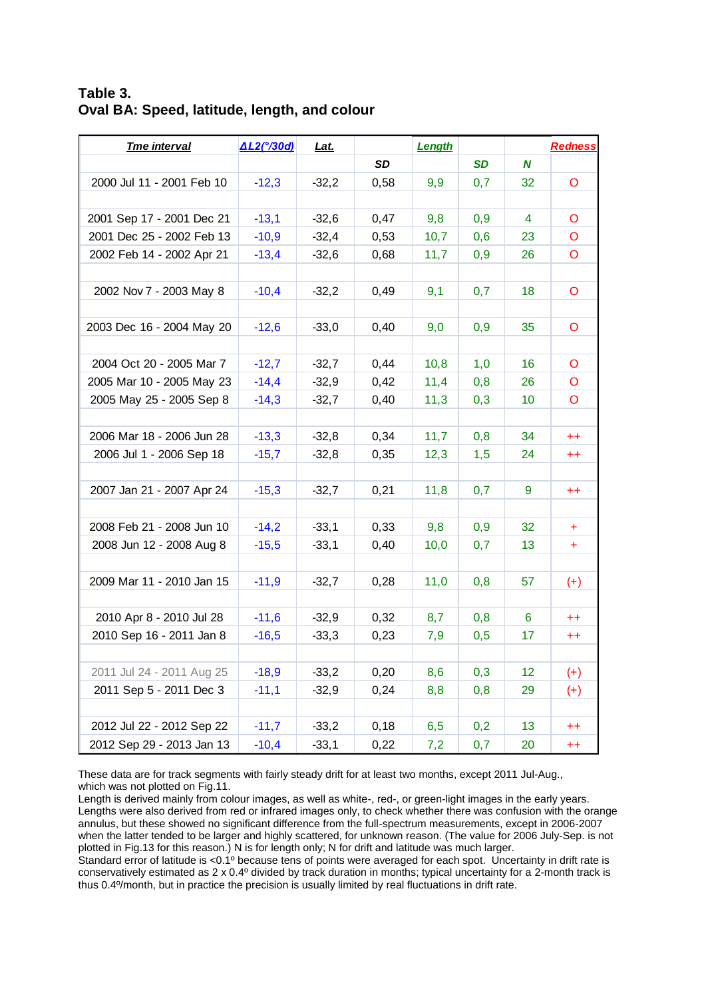**Table 3. Oval BA: Speed, latitude, length, and colour**

| <b>Tme interval</b>       | <u>∆L2(°/30d)</u> | <u>Lat.</u> |           | Length |           |                 | <b>Redness</b>   |
|---------------------------|-------------------|-------------|-----------|--------|-----------|-----------------|------------------|
|                           |                   |             | <b>SD</b> |        | <b>SD</b> | N               |                  |
| 2000 Jul 11 - 2001 Feb 10 | $-12,3$           | $-32,2$     | 0,58      | 9,9    | 0,7       | 32              | O                |
|                           |                   |             |           |        |           |                 |                  |
| 2001 Sep 17 - 2001 Dec 21 | $-13,1$           | $-32,6$     | 0,47      | 9,8    | 0,9       | 4               | O                |
| 2001 Dec 25 - 2002 Feb 13 | $-10,9$           | $-32,4$     | 0,53      | 10,7   | 0,6       | 23              | O                |
| 2002 Feb 14 - 2002 Apr 21 | $-13,4$           | $-32,6$     | 0,68      | 11,7   | 0,9       | 26              | O                |
|                           |                   |             |           |        |           |                 |                  |
| 2002 Nov 7 - 2003 May 8   | $-10,4$           | $-32,2$     | 0,49      | 9,1    | 0,7       | 18              | O                |
|                           |                   |             |           |        |           |                 |                  |
| 2003 Dec 16 - 2004 May 20 | $-12,6$           | $-33,0$     | 0,40      | 9,0    | 0,9       | 35              | O                |
|                           |                   |             |           |        |           |                 |                  |
| 2004 Oct 20 - 2005 Mar 7  | $-12,7$           | $-32,7$     | 0,44      | 10,8   | 1,0       | 16              | O                |
| 2005 Mar 10 - 2005 May 23 | $-14,4$           | $-32,9$     | 0,42      | 11,4   | 0,8       | 26              | O                |
| 2005 May 25 - 2005 Sep 8  | $-14,3$           | $-32,7$     | 0,40      | 11,3   | 0,3       | 10              | O                |
|                           |                   |             |           |        |           |                 |                  |
| 2006 Mar 18 - 2006 Jun 28 | $-13.3$           | $-32,8$     | 0,34      | 11,7   | 0,8       | 34              | $^{++}$          |
| 2006 Jul 1 - 2006 Sep 18  | $-15,7$           | $-32,8$     | 0,35      | 12,3   | 1,5       | 24              | $^{\mathrm{++}}$ |
|                           |                   |             |           |        |           |                 |                  |
| 2007 Jan 21 - 2007 Apr 24 | $-15,3$           | $-32,7$     | 0,21      | 11,8   | 0,7       | 9               | $^{++}$          |
|                           |                   |             |           |        |           |                 |                  |
| 2008 Feb 21 - 2008 Jun 10 | $-14,2$           | $-33,1$     | 0,33      | 9,8    | 0,9       | 32              | ÷.               |
| 2008 Jun 12 - 2008 Aug 8  | $-15,5$           | $-33,1$     | 0,40      | 10,0   | 0,7       | 13 <sup>°</sup> | ÷                |
|                           |                   |             |           |        |           |                 |                  |
| 2009 Mar 11 - 2010 Jan 15 | $-11,9$           | $-32,7$     | 0,28      | 11,0   | 0,8       | 57              | $(+)$            |
|                           |                   |             |           |        |           |                 |                  |
| 2010 Apr 8 - 2010 Jul 28  | $-11,6$           | $-32,9$     | 0,32      | 8,7    | 0,8       | 6               | $^{++}$          |
| 2010 Sep 16 - 2011 Jan 8  | $-16,5$           | $-33,3$     | 0,23      | 7,9    | 0,5       | 17              | $^{++}$          |
|                           |                   |             |           |        |           |                 |                  |
| 2011 Jul 24 - 2011 Aug 25 | $-18,9$           | $-33,2$     | 0,20      | 8,6    | 0,3       | 12              | $^{(+)}$         |
| 2011 Sep 5 - 2011 Dec 3   | $-11,1$           | $-32,9$     | 0,24      | 8,8    | 0,8       | 29              | $^{(+)}$         |
|                           |                   |             |           |        |           |                 |                  |
| 2012 Jul 22 - 2012 Sep 22 | $-11,7$           | $-33,2$     | 0, 18     | 6,5    | 0,2       | 13              | $^{\mathrm{++}}$ |
| 2012 Sep 29 - 2013 Jan 13 | $-10,4$           | $-33,1$     | 0,22      | 7,2    | 0,7       | 20              | $^{++}$          |

These data are for track segments with fairly steady drift for at least two months, except 2011 Jul-Aug., which was not plotted on Fig.11.

Length is derived mainly from colour images, as well as white-, red-, or green-light images in the early years. Lengths were also derived from red or infrared images only, to check whether there was confusion with the orange annulus, but these showed no significant difference from the full-spectrum measurements, except in 2006-2007 when the latter tended to be larger and highly scattered, for unknown reason. (The value for 2006 July-Sep. is not plotted in Fig.13 for this reason.) N is for length only; N for drift and latitude was much larger.

Standard error of latitude is <0.1º because tens of points were averaged for each spot. Uncertainty in drift rate is conservatively estimated as 2 x 0.4º divided by track duration in months; typical uncertainty for a 2-month track is thus 0.4º/month, but in practice the precision is usually limited by real fluctuations in drift rate.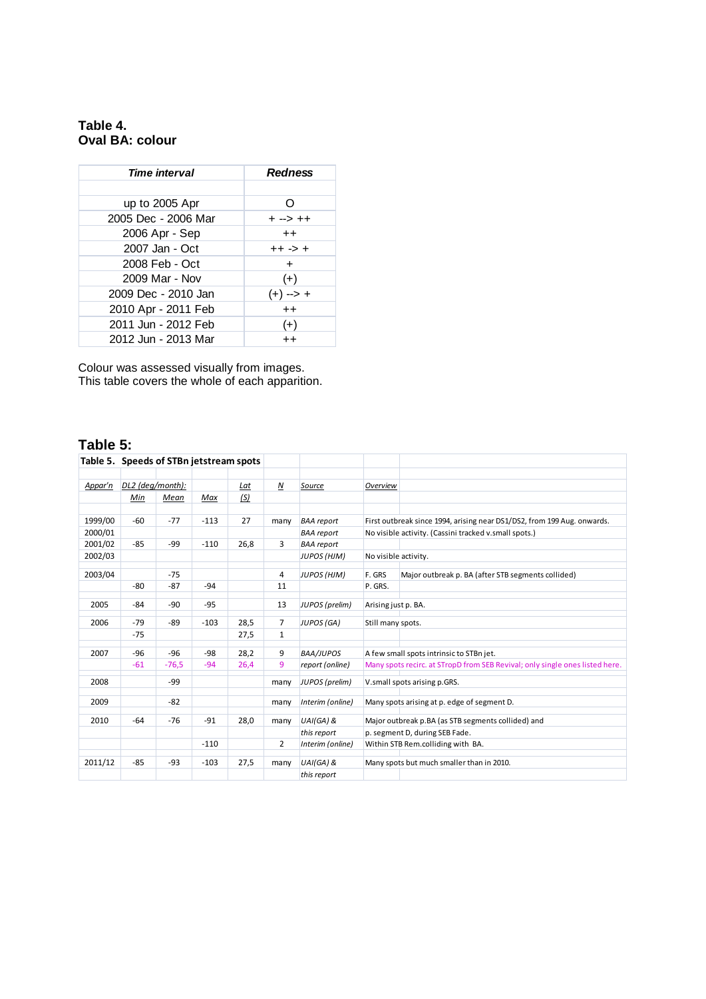### **Table 4. Oval BA: colour**

| <b>Time interval</b> | <b>Redness</b>  |
|----------------------|-----------------|
|                      |                 |
| up to 2005 Apr       | ∩               |
| 2005 Dec - 2006 Mar  | + --> ++        |
| 2006 Apr - Sep       | $^{\mathrm{+}}$ |
| 2007 Jan - Oct       | ++ -> +         |
| 2008 Feb - Oct       | $\pm$           |
| 2009 Mar - Nov       | $(+)$           |
| 2009 Dec - 2010 Jan  | (+) --> +       |
| 2010 Apr - 2011 Feb  | $++$            |
| 2011 Jun - 2012 Feb  | $(+)$           |
| 2012 Jun - 2013 Mar  | $^{\mathrm{+}}$ |

Colour was assessed visually from images. This table covers the whole of each apparition.

# **Table 5:**

| Table 5. Speeds of STBn jetstream spots |                  |         |        |      |                  |                    |                     |                                                                              |
|-----------------------------------------|------------------|---------|--------|------|------------------|--------------------|---------------------|------------------------------------------------------------------------------|
|                                         |                  |         |        |      |                  |                    |                     |                                                                              |
| Appar'n                                 | DL2 (deg/month): |         |        | Lat  | $\boldsymbol{N}$ | Source             | Overview            |                                                                              |
|                                         | Min              | Mean    | Max    | (S)  |                  |                    |                     |                                                                              |
|                                         |                  |         |        |      |                  |                    |                     |                                                                              |
| 1999/00                                 | -60              | $-77$   | $-113$ | 27   | many             | <b>BAA</b> report  |                     | First outbreak since 1994, arising near DS1/DS2, from 199 Aug. onwards.      |
| 2000/01                                 |                  |         |        |      |                  | <b>BAA</b> report  |                     | No visible activity. (Cassini tracked v.small spots.)                        |
| 2001/02                                 | $-85$            | $-99$   | $-110$ | 26,8 | $\overline{3}$   | <b>BAA</b> report  |                     |                                                                              |
| 2002/03                                 |                  |         |        |      |                  | JUPOS (HJM)        |                     | No visible activity.                                                         |
| 2003/04                                 |                  | $-75$   |        |      | 4                | <b>JUPOS (HJM)</b> | F. GRS              | Major outbreak p. BA (after STB segments collided)                           |
|                                         | $-80$            | $-87$   | $-94$  |      | 11               |                    | P. GRS.             |                                                                              |
|                                         |                  |         |        |      |                  |                    |                     |                                                                              |
| 2005                                    | $-84$            | $-90$   | $-95$  |      | 13               | JUPOS (prelim)     | Arising just p. BA. |                                                                              |
| 2006                                    | $-79$            | $-89$   | $-103$ | 28,5 | $\overline{7}$   | JUPOS (GA)         | Still many spots.   |                                                                              |
|                                         | $-75$            |         |        | 27,5 | $\mathbf{1}$     |                    |                     |                                                                              |
| 2007                                    | $-96$            | $-96$   | $-98$  | 28.2 | 9                | <b>BAA/JUPOS</b>   |                     | A few small spots intrinsic to STBn jet.                                     |
|                                         | $-61$            | $-76,5$ | $-94$  | 26.4 | 9                | report (online)    |                     | Many spots recirc. at STropD from SEB Revival; only single ones listed here. |
| 2008                                    |                  | $-99$   |        |      | many             | JUPOS (prelim)     |                     | V.small spots arising p.GRS.                                                 |
| 2009                                    |                  | $-82$   |        |      |                  | Interim (online)   |                     | Many spots arising at p. edge of segment D.                                  |
|                                         |                  |         |        |      | many             |                    |                     |                                                                              |
| 2010                                    | -64              | $-76$   | $-91$  | 28,0 | many             | UAI(GA) &          |                     | Major outbreak p.BA (as STB segments collided) and                           |
|                                         |                  |         |        |      |                  | this report        |                     | p. segment D, during SEB Fade.                                               |
|                                         |                  |         | $-110$ |      | $\overline{2}$   | Interim (online)   |                     | Within STB Rem.colliding with BA.                                            |
| 2011/12                                 | $-85$            | $-93$   | $-103$ | 27.5 | many             | UAI(GA) &          |                     | Many spots but much smaller than in 2010.                                    |
|                                         |                  |         |        |      |                  | this report        |                     |                                                                              |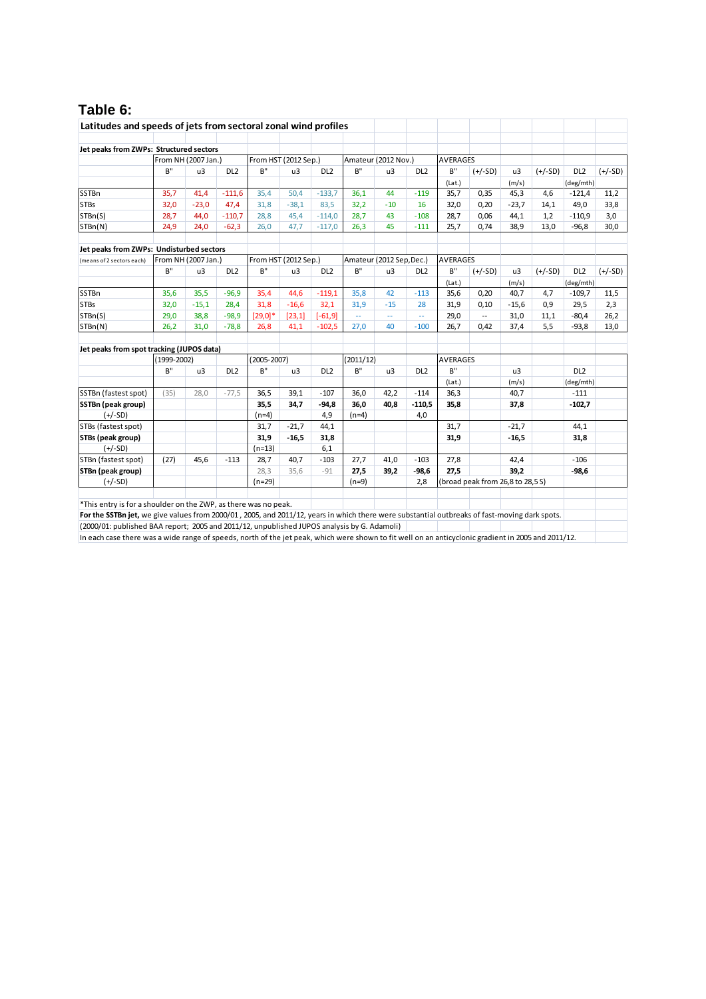# **Table 6:**

| Latitudes and speeds of jets from sectoral zonal wind profiles                                                                                      |               |                     |                 |                      |         |                 |                     |                          |                 |                                  |                          |         |           |                 |           |
|-----------------------------------------------------------------------------------------------------------------------------------------------------|---------------|---------------------|-----------------|----------------------|---------|-----------------|---------------------|--------------------------|-----------------|----------------------------------|--------------------------|---------|-----------|-----------------|-----------|
| Jet peaks from ZWPs: Structured sectors                                                                                                             |               |                     |                 |                      |         |                 |                     |                          |                 |                                  |                          |         |           |                 |           |
|                                                                                                                                                     |               | From NH (2007 Jan.) |                 | From HST (2012 Sep.) |         |                 | Amateur (2012 Nov.) |                          |                 | <b>AVERAGES</b>                  |                          |         |           |                 |           |
|                                                                                                                                                     | B''           | u3                  | DL <sub>2</sub> | B''                  | u3      | DL <sub>2</sub> | B''                 | u3                       | DL <sub>2</sub> | B''                              | $(+/-SD)$                | u3      | $(+/-SD)$ | DL <sub>2</sub> | $(+/-SD)$ |
|                                                                                                                                                     |               |                     |                 |                      |         |                 |                     |                          |                 | (Lat.)                           |                          | (m/s)   |           | (deg/mth)       |           |
| <b>SSTBn</b>                                                                                                                                        | 35,7          | 41,4                | $-111,6$        | 35,4                 | 50,4    | $-133,7$        | 36,1                | 44                       | $-119$          | 35,7                             | 0,35                     | 45,3    | 4,6       | $-121,4$        | 11,2      |
| <b>STBs</b>                                                                                                                                         | 32,0          | $-23,0$             | 47,4            | 31.8                 | $-38.1$ | 83,5            | 32,2                | $-10$                    | 16              | 32,0                             | 0,20                     | $-23.7$ | 14,1      | 49,0            | 33,8      |
| STBn(S)                                                                                                                                             | 28,7          | 44,0                | $-110,7$        | 28,8                 | 45,4    | $-114,0$        | 28,7                | 43                       | $-108$          | 28,7                             | 0,06                     | 44,1    | 1,2       | $-110,9$        | 3,0       |
| STBn(N)                                                                                                                                             | 24,9          | 24,0                | $-62,3$         | 26,0                 | 47,7    | $-117,0$        | 26,3                | 45                       | $-111$          | 25,7                             | 0,74                     | 38,9    | 13,0      | $-96,8$         | 30,0      |
|                                                                                                                                                     |               |                     |                 |                      |         |                 |                     |                          |                 |                                  |                          |         |           |                 |           |
| Jet peaks from ZWPs: Undisturbed sectors                                                                                                            |               |                     |                 |                      |         |                 |                     |                          |                 |                                  |                          |         |           |                 |           |
| (means of 2 sectors each)                                                                                                                           |               | From NH (2007 Jan.) |                 | From HST (2012 Sep.) |         |                 |                     | Amateur (2012 Sep, Dec.) |                 | <b>AVERAGES</b>                  |                          |         |           |                 |           |
|                                                                                                                                                     | B''           | u3                  | DL <sub>2</sub> | B''                  | u3      | DL <sub>2</sub> | B''                 | u3                       | DL <sub>2</sub> | B''                              | $(+/-SD)$                | u3      | $(+/-SD)$ | DL <sub>2</sub> | $(+/-SD)$ |
|                                                                                                                                                     |               |                     |                 |                      |         |                 |                     |                          |                 | (Lat.)                           |                          | (m/s)   |           | (deg/mth)       |           |
| <b>SSTBn</b>                                                                                                                                        | 35,6          | 35,5                | $-96,9$         | 35,4                 | 44,6    | $-119,1$        | 35,8                | 42                       | $-113$          | 35,6                             | 0,20                     | 40,7    | 4,7       | $-109,7$        | 11,5      |
| <b>STBs</b>                                                                                                                                         | 32,0          | $-15,1$             | 28,4            | 31,8                 | $-16,6$ | 32,1            | 31,9                | $-15$                    | 28              | 31,9                             | 0,10                     | $-15,6$ | 0,9       | 29,5            | 2,3       |
| STBn(S)                                                                                                                                             | 29,0          | 38,8                | $-98,9$         | $[29,0]$ *           | [23, 1] | $[-61, 9]$      | μ.                  | μ.                       | цц.             | 29,0                             | $\overline{\phantom{a}}$ | 31,0    | 11,1      | $-80,4$         | 26,2      |
| STBn(N)                                                                                                                                             | 26,2          | 31,0                | $-78,8$         | 26,8                 | 41,1    | $-102,5$        | 27,0                | 40                       | $-100$          | 26,7                             | 0,42                     | 37,4    | 5,5       | $-93,8$         | 13,0      |
|                                                                                                                                                     |               |                     |                 |                      |         |                 |                     |                          |                 |                                  |                          |         |           |                 |           |
| Jet peaks from spot tracking (JUPOS data)                                                                                                           |               |                     |                 |                      |         |                 |                     |                          |                 |                                  |                          |         |           |                 |           |
|                                                                                                                                                     | $(1999-2002)$ |                     |                 | $(2005 - 2007)$      |         |                 | (2011/12)           |                          |                 | <b>AVERAGES</b>                  |                          |         |           |                 |           |
|                                                                                                                                                     | B''           | u3                  | DL <sub>2</sub> | B''                  | u3      | DL <sub>2</sub> | B''                 | u3                       | DL <sub>2</sub> | B''                              |                          | u3      |           | DL <sub>2</sub> |           |
|                                                                                                                                                     |               |                     |                 |                      |         |                 |                     |                          |                 | (Lat.)                           |                          | (m/s)   |           | (deg/mth)       |           |
| SSTBn (fastest spot)                                                                                                                                | (35)          | 28.0                | $-77,5$         | 36,5                 | 39,1    | $-107$          | 36,0                | 42.2                     | $-114$          | 36,3                             |                          | 40.7    |           | $-111$          |           |
| SSTBn (peak group)                                                                                                                                  |               |                     |                 | 35,5                 | 34.7    | $-94,8$         | 36,0                | 40,8                     | $-110,5$        | 35,8                             |                          | 37,8    |           | $-102,7$        |           |
| $(+/-SD)$                                                                                                                                           |               |                     |                 | $(n=4)$              |         | 4,9             | $(n=4)$             |                          | 4,0             |                                  |                          |         |           |                 |           |
| STBs (fastest spot)                                                                                                                                 |               |                     |                 | 31,7                 | $-21,7$ | 44,1            |                     |                          |                 | 31,7                             |                          | $-21,7$ |           | 44,1            |           |
| STBs (peak group)                                                                                                                                   |               |                     |                 | 31,9                 | $-16,5$ | 31,8            |                     |                          |                 | 31,9                             |                          | $-16,5$ |           | 31,8            |           |
| $(+/-SD)$                                                                                                                                           |               |                     |                 | $(n=13)$             |         | 6,1             |                     |                          |                 |                                  |                          |         |           |                 |           |
| STBn (fastest spot)                                                                                                                                 | (27)          | 45,6                | $-113$          | 28,7                 | 40.7    | $-103$          | 27,7                | 41,0                     | $-103$          | 27,8                             |                          | 42,4    |           | $-106$          |           |
| STBn (peak group)                                                                                                                                   |               |                     |                 | 28,3                 | 35,6    | $-91$           | 27,5                | 39,2                     | $-98,6$         | 27,5                             |                          | 39,2    |           | $-98,6$         |           |
| $(+/-SD)$                                                                                                                                           |               |                     |                 | $(n=29)$             |         |                 | $(n=9)$             |                          | 2,8             | (broad peak from 26,8 to 28,5 S) |                          |         |           |                 |           |
|                                                                                                                                                     |               |                     |                 |                      |         |                 |                     |                          |                 |                                  |                          |         |           |                 |           |
| *This entry is for a shoulder on the ZWP, as there was no peak.                                                                                     |               |                     |                 |                      |         |                 |                     |                          |                 |                                  |                          |         |           |                 |           |
| For the SSTBn jet, we give values from 2000/01, 2005, and 2011/12, years in which there were substantial outbreaks of fast-moving dark spots.       |               |                     |                 |                      |         |                 |                     |                          |                 |                                  |                          |         |           |                 |           |
| (2000/01: published BAA report; 2005 and 2011/12, unpublished JUPOS analysis by G. Adamoli)                                                         |               |                     |                 |                      |         |                 |                     |                          |                 |                                  |                          |         |           |                 |           |
| In each case there was a wide range of speeds, north of the jet peak, which were shown to fit well on an anticyclonic gradient in 2005 and 2011/12. |               |                     |                 |                      |         |                 |                     |                          |                 |                                  |                          |         |           |                 |           |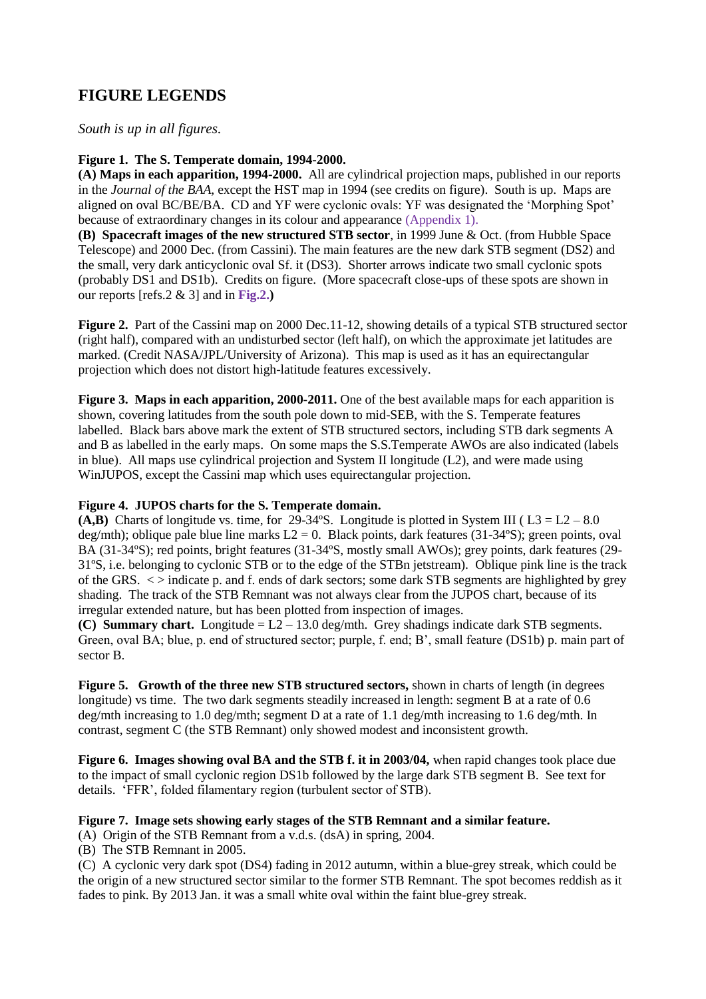# **FIGURE LEGENDS**

*South is up in all figures.*

#### **Figure 1. The S. Temperate domain, 1994-2000.**

**(A) Maps in each apparition, 1994-2000.** All are cylindrical projection maps, published in our reports in the *Journal of the BAA*, except the HST map in 1994 (see credits on figure). South is up. Maps are aligned on oval BC/BE/BA. CD and YF were cyclonic ovals: YF was designated the 'Morphing Spot' because of extraordinary changes in its colour and appearance (Appendix 1).

**(B) Spacecraft images of the new structured STB sector**, in 1999 June & Oct. (from Hubble Space Telescope) and 2000 Dec. (from Cassini). The main features are the new dark STB segment (DS2) and the small, very dark anticyclonic oval Sf. it (DS3). Shorter arrows indicate two small cyclonic spots (probably DS1 and DS1b). Credits on figure. (More spacecraft close-ups of these spots are shown in our reports [refs.2 & 3] and in **Fig.2.)**

Figure 2. Part of the Cassini map on 2000 Dec.11-12, showing details of a typical STB structured sector (right half), compared with an undisturbed sector (left half), on which the approximate jet latitudes are marked. (Credit NASA/JPL/University of Arizona). This map is used as it has an equirectangular projection which does not distort high-latitude features excessively.

**Figure 3. Maps in each apparition, 2000-2011.** One of the best available maps for each apparition is shown, covering latitudes from the south pole down to mid-SEB, with the S. Temperate features labelled. Black bars above mark the extent of STB structured sectors, including STB dark segments A and B as labelled in the early maps. On some maps the S.S.Temperate AWOs are also indicated (labels in blue). All maps use cylindrical projection and System II longitude (L2), and were made using WinJUPOS, except the Cassini map which uses equirectangular projection.

#### **Figure 4. JUPOS charts for the S. Temperate domain.**

**(A,B)** Charts of longitude vs. time, for 29-34°S. Longitude is plotted in System III ( $L3 = L2 - 8.0$ ) deg/mth); oblique pale blue line marks  $L2 = 0$ . Black points, dark features (31-34°S); green points, oval BA (31-34ºS); red points, bright features (31-34ºS, mostly small AWOs); grey points, dark features (29- 31ºS, i.e. belonging to cyclonic STB or to the edge of the STBn jetstream). Oblique pink line is the track of the GRS. < > indicate p. and f. ends of dark sectors; some dark STB segments are highlighted by grey shading. The track of the STB Remnant was not always clear from the JUPOS chart, because of its irregular extended nature, but has been plotted from inspection of images.

**(C) Summary chart.** Longitude = L2 – 13.0 deg/mth. Grey shadings indicate dark STB segments. Green, oval BA; blue, p. end of structured sector; purple, f. end; B', small feature (DS1b) p. main part of sector B.

**Figure 5. Growth of the three new STB structured sectors,** shown in charts of length (in degrees longitude) vs time. The two dark segments steadily increased in length: segment B at a rate of 0.6 deg/mth increasing to 1.0 deg/mth; segment D at a rate of 1.1 deg/mth increasing to 1.6 deg/mth. In contrast, segment C (the STB Remnant) only showed modest and inconsistent growth.

**Figure 6. Images showing oval BA and the STB f. it in 2003/04,** when rapid changes took place due to the impact of small cyclonic region DS1b followed by the large dark STB segment B. See text for details. 'FFR', folded filamentary region (turbulent sector of STB).

#### **Figure 7. Image sets showing early stages of the STB Remnant and a similar feature.**

(A) Origin of the STB Remnant from a v.d.s. (dsA) in spring, 2004.

(B) The STB Remnant in 2005.

(C) A cyclonic very dark spot (DS4) fading in 2012 autumn, within a blue-grey streak, which could be the origin of a new structured sector similar to the former STB Remnant. The spot becomes reddish as it fades to pink. By 2013 Jan. it was a small white oval within the faint blue-grey streak.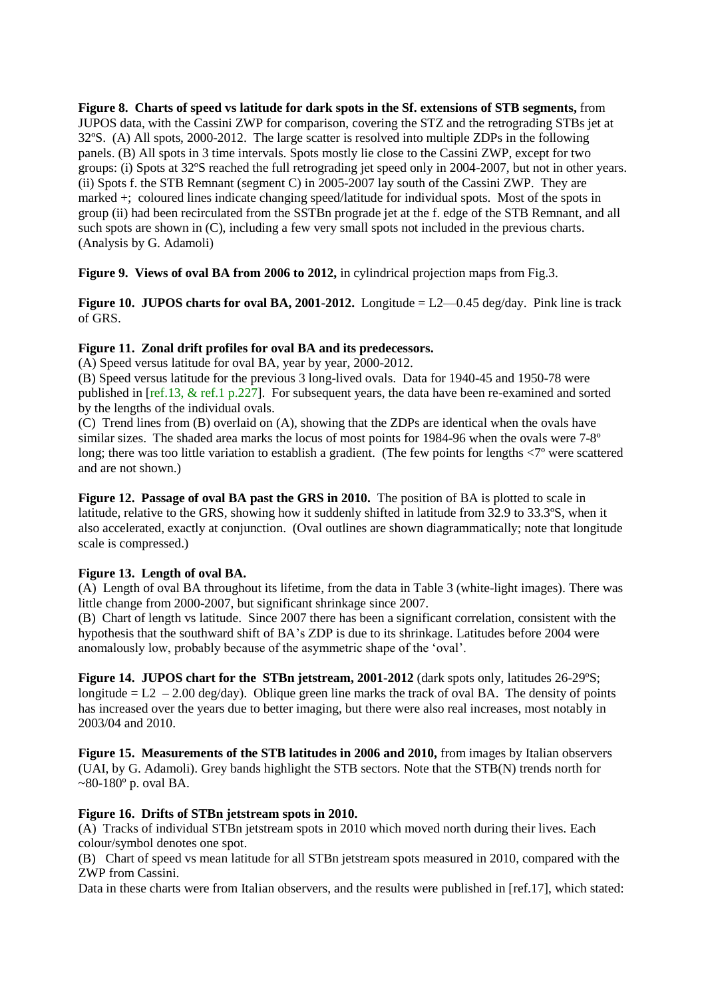**Figure 8. Charts of speed vs latitude for dark spots in the Sf. extensions of STB segments,** from JUPOS data, with the Cassini ZWP for comparison, covering the STZ and the retrograding STBs jet at 32ºS. (A) All spots, 2000-2012. The large scatter is resolved into multiple ZDPs in the following panels. (B) All spots in 3 time intervals. Spots mostly lie close to the Cassini ZWP, except for two groups: (i) Spots at 32ºS reached the full retrograding jet speed only in 2004-2007, but not in other years. (ii) Spots f. the STB Remnant (segment C) in 2005-2007 lay south of the Cassini ZWP. They are marked +; coloured lines indicate changing speed/latitude for individual spots. Most of the spots in group (ii) had been recirculated from the SSTBn prograde jet at the f. edge of the STB Remnant, and all such spots are shown in (C), including a few very small spots not included in the previous charts. (Analysis by G. Adamoli)

**Figure 9. Views of oval BA from 2006 to 2012,** in cylindrical projection maps from Fig.3.

**Figure 10. JUPOS charts for oval BA, 2001-2012.** Longitude  $= L2 - 0.45$  deg/day. Pink line is track of GRS.

#### **Figure 11. Zonal drift profiles for oval BA and its predecessors.**

(A) Speed versus latitude for oval BA, year by year, 2000-2012.

(B) Speed versus latitude for the previous 3 long-lived ovals. Data for 1940-45 and 1950-78 were published in [ref.13, & ref.1 p.227]. For subsequent years, the data have been re-examined and sorted by the lengths of the individual ovals.

(C) Trend lines from (B) overlaid on (A), showing that the ZDPs are identical when the ovals have similar sizes. The shaded area marks the locus of most points for 1984-96 when the ovals were 7-8º long; there was too little variation to establish a gradient. (The few points for lengths <7º were scattered and are not shown.)

**Figure 12. Passage of oval BA past the GRS in 2010.** The position of BA is plotted to scale in latitude, relative to the GRS, showing how it suddenly shifted in latitude from 32.9 to 33.3ºS, when it also accelerated, exactly at conjunction. (Oval outlines are shown diagrammatically; note that longitude scale is compressed.)

#### **Figure 13. Length of oval BA.**

(A) Length of oval BA throughout its lifetime, from the data in Table 3 (white-light images). There was little change from 2000-2007, but significant shrinkage since 2007.

(B) Chart of length vs latitude. Since 2007 there has been a significant correlation, consistent with the hypothesis that the southward shift of BA's ZDP is due to its shrinkage. Latitudes before 2004 were anomalously low, probably because of the asymmetric shape of the 'oval'.

**Figure 14. JUPOS chart for the STBn jetstream, 2001-2012** (dark spots only, latitudes 26-29ºS; longitude  $= L2 - 2.00 \text{ deg/day}$ . Oblique green line marks the track of oval BA. The density of points has increased over the years due to better imaging, but there were also real increases, most notably in 2003/04 and 2010.

**Figure 15. Measurements of the STB latitudes in 2006 and 2010,** from images by Italian observers (UAI, by G. Adamoli). Grey bands highlight the STB sectors. Note that the STB(N) trends north for  $\sim$ 80-180 $\degree$  p. oval BA.

#### **Figure 16. Drifts of STBn jetstream spots in 2010.**

(A) Tracks of individual STBn jetstream spots in 2010 which moved north during their lives. Each colour/symbol denotes one spot.

(B) Chart of speed vs mean latitude for all STBn jetstream spots measured in 2010, compared with the ZWP from Cassini.

Data in these charts were from Italian observers, and the results were published in [ref.17], which stated: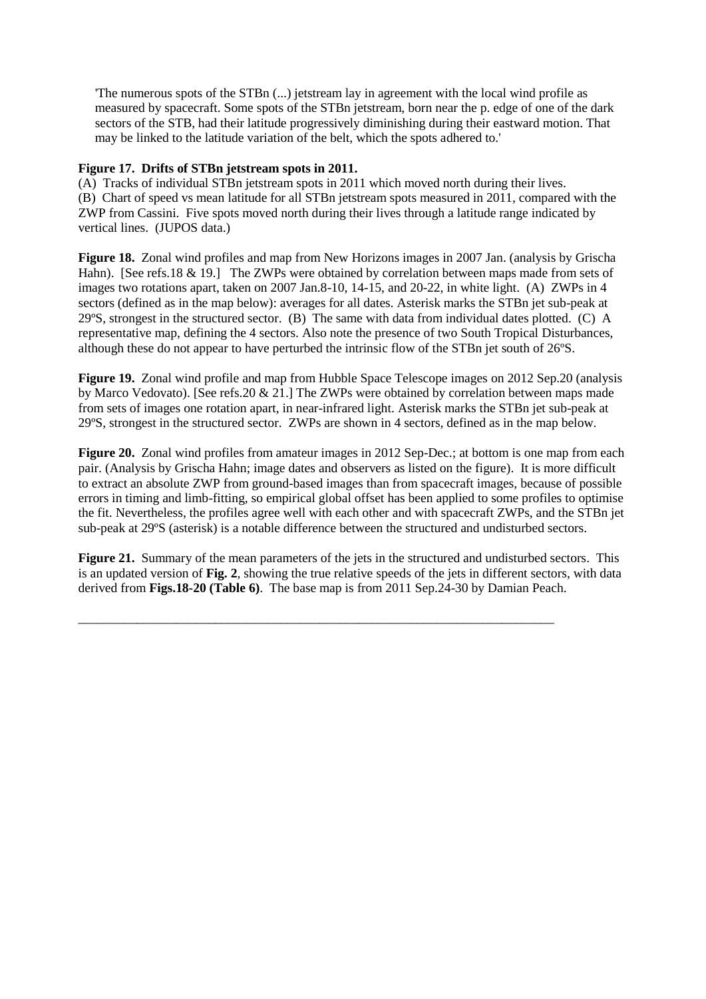'The numerous spots of the STBn (...) jetstream lay in agreement with the local wind profile as measured by spacecraft. Some spots of the STBn jetstream, born near the p. edge of one of the dark sectors of the STB, had their latitude progressively diminishing during their eastward motion. That may be linked to the latitude variation of the belt, which the spots adhered to.'

#### **Figure 17. Drifts of STBn jetstream spots in 2011.**

(A) Tracks of individual STBn jetstream spots in 2011 which moved north during their lives. (B) Chart of speed vs mean latitude for all STBn jetstream spots measured in 2011, compared with the ZWP from Cassini. Five spots moved north during their lives through a latitude range indicated by vertical lines. (JUPOS data.)

**Figure 18.** Zonal wind profiles and map from New Horizons images in 2007 Jan. (analysis by Grischa Hahn). [See refs.18 & 19.] The ZWPs were obtained by correlation between maps made from sets of images two rotations apart, taken on 2007 Jan.8-10, 14-15, and 20-22, in white light. (A) ZWPs in 4 sectors (defined as in the map below): averages for all dates. Asterisk marks the STBn jet sub-peak at 29ºS, strongest in the structured sector. (B) The same with data from individual dates plotted. (C) A representative map, defining the 4 sectors. Also note the presence of two South Tropical Disturbances, although these do not appear to have perturbed the intrinsic flow of the STBn jet south of 26ºS.

**Figure 19.** Zonal wind profile and map from Hubble Space Telescope images on 2012 Sep.20 (analysis by Marco Vedovato). [See refs.20 & 21.] The ZWPs were obtained by correlation between maps made from sets of images one rotation apart, in near-infrared light. Asterisk marks the STBn jet sub-peak at 29ºS, strongest in the structured sector. ZWPs are shown in 4 sectors, defined as in the map below.

**Figure 20.** Zonal wind profiles from amateur images in 2012 Sep-Dec.; at bottom is one map from each pair. (Analysis by Grischa Hahn; image dates and observers as listed on the figure). It is more difficult to extract an absolute ZWP from ground-based images than from spacecraft images, because of possible errors in timing and limb-fitting, so empirical global offset has been applied to some profiles to optimise the fit. Nevertheless, the profiles agree well with each other and with spacecraft ZWPs, and the STBn jet sub-peak at 29ºS (asterisk) is a notable difference between the structured and undisturbed sectors.

**Figure 21.** Summary of the mean parameters of the jets in the structured and undisturbed sectors. This is an updated version of **Fig. 2**, showing the true relative speeds of the jets in different sectors, with data derived from **Figs.18-20 (Table 6)**. The base map is from 2011 Sep.24-30 by Damian Peach.

\_\_\_\_\_\_\_\_\_\_\_\_\_\_\_\_\_\_\_\_\_\_\_\_\_\_\_\_\_\_\_\_\_\_\_\_\_\_\_\_\_\_\_\_\_\_\_\_\_\_\_\_\_\_\_\_\_\_\_\_\_\_\_\_\_\_\_\_\_\_\_\_\_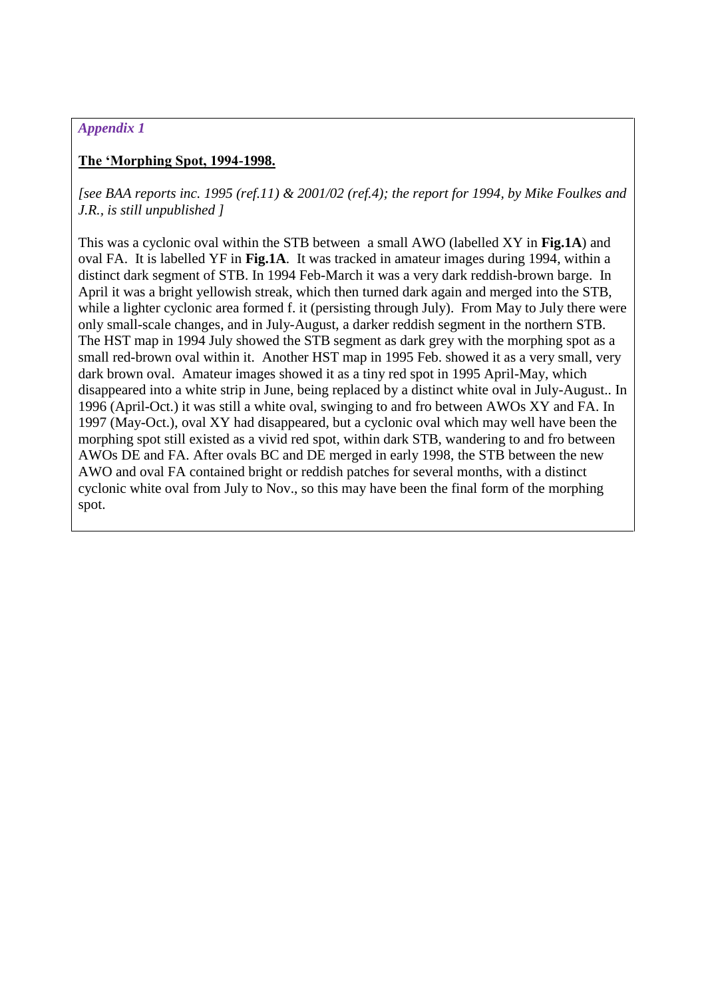## *Appendix 1*

### **The 'Morphing Spot, 1994-1998.**

*[see BAA reports inc. 1995 (ref.11) & 2001/02 (ref.4); the report for 1994, by Mike Foulkes and J.R., is still unpublished ]*

This was a cyclonic oval within the STB between a small AWO (labelled XY in **Fig.1A**) and oval FA. It is labelled YF in **Fig.1A**. It was tracked in amateur images during 1994, within a distinct dark segment of STB. In 1994 Feb-March it was a very dark reddish-brown barge. In April it was a bright yellowish streak, which then turned dark again and merged into the STB, while a lighter cyclonic area formed f. it (persisting through July). From May to July there were only small-scale changes, and in July-August, a darker reddish segment in the northern STB. The HST map in 1994 July showed the STB segment as dark grey with the morphing spot as a small red-brown oval within it. Another HST map in 1995 Feb. showed it as a very small, very dark brown oval. Amateur images showed it as a tiny red spot in 1995 April-May, which disappeared into a white strip in June, being replaced by a distinct white oval in July-August.. In 1996 (April-Oct.) it was still a white oval, swinging to and fro between AWOs XY and FA. In 1997 (May-Oct.), oval XY had disappeared, but a cyclonic oval which may well have been the morphing spot still existed as a vivid red spot, within dark STB, wandering to and fro between AWOs DE and FA. After ovals BC and DE merged in early 1998, the STB between the new AWO and oval FA contained bright or reddish patches for several months, with a distinct cyclonic white oval from July to Nov., so this may have been the final form of the morphing spot.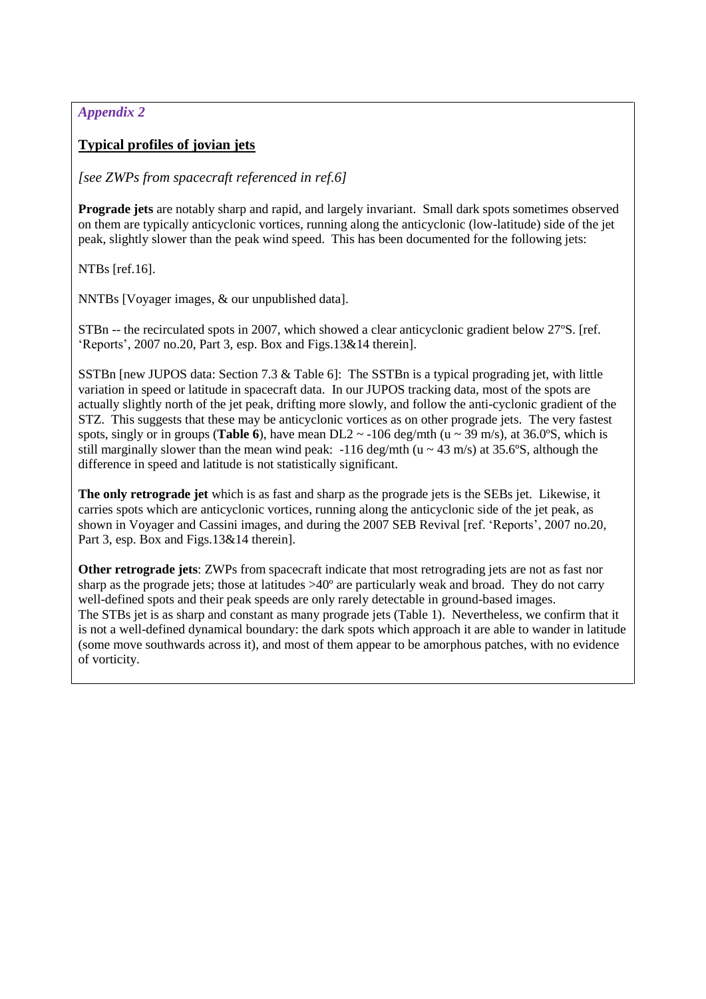# *Appendix 2*

# **Typical profiles of jovian jets**

### *[see ZWPs from spacecraft referenced in ref.6]*

**Prograde jets** are notably sharp and rapid, and largely invariant. Small dark spots sometimes observed on them are typically anticyclonic vortices, running along the anticyclonic (low-latitude) side of the jet peak, slightly slower than the peak wind speed. This has been documented for the following jets:

NTBs [ref.16].

NNTBs [Voyager images, & our unpublished data].

STBn -- the recirculated spots in 2007, which showed a clear anticyclonic gradient below 27ºS. [ref. 'Reports', 2007 no.20, Part 3, esp. Box and Figs.13&14 therein].

SSTBn [new JUPOS data: Section 7.3 & Table 6]: The SSTBn is a typical prograding jet, with little variation in speed or latitude in spacecraft data. In our JUPOS tracking data, most of the spots are actually slightly north of the jet peak, drifting more slowly, and follow the anti-cyclonic gradient of the STZ. This suggests that these may be anticyclonic vortices as on other prograde jets. The very fastest spots, singly or in groups (**Table 6**), have mean DL2  $\sim$  -106 deg/mth (u  $\sim$  39 m/s), at 36.0°S, which is still marginally slower than the mean wind peak:  $-116 \text{ deg/mL}$  (u ~ 43 m/s) at 35.6°S, although the difference in speed and latitude is not statistically significant.

**The only retrograde jet** which is as fast and sharp as the prograde jets is the SEBs jet. Likewise, it carries spots which are anticyclonic vortices, running along the anticyclonic side of the jet peak, as shown in Voyager and Cassini images, and during the 2007 SEB Revival [ref. 'Reports', 2007 no.20, Part 3, esp. Box and Figs.13&14 therein].

**Other retrograde jets**: ZWPs from spacecraft indicate that most retrograding jets are not as fast nor sharp as the prograde jets; those at latitudes >40º are particularly weak and broad. They do not carry well-defined spots and their peak speeds are only rarely detectable in ground-based images. The STBs jet is as sharp and constant as many prograde jets (Table 1). Nevertheless, we confirm that it is not a well-defined dynamical boundary: the dark spots which approach it are able to wander in latitude (some move southwards across it), and most of them appear to be amorphous patches, with no evidence of vorticity.